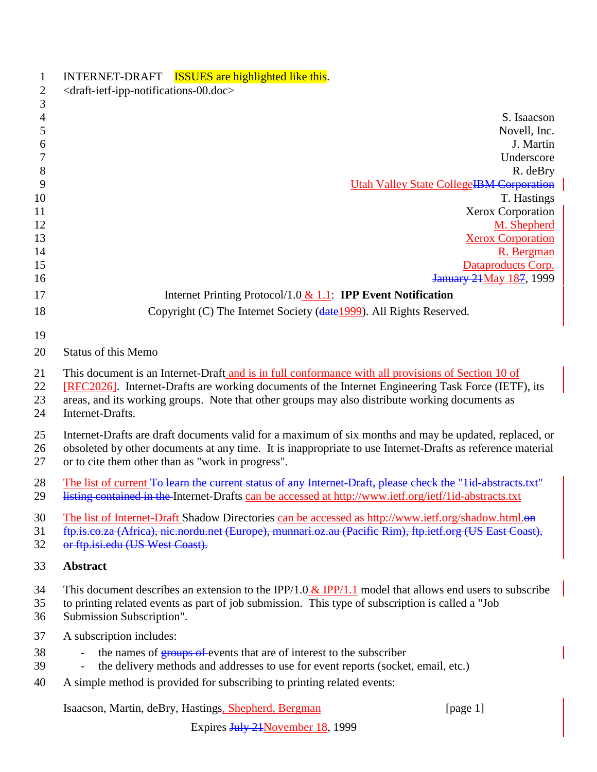| INTERNET-DRAFT ISSUES are highlighted like this.                                                                                                                                                                      |
|-----------------------------------------------------------------------------------------------------------------------------------------------------------------------------------------------------------------------|
| <draft-ietf-ipp-notifications-00.doc></draft-ietf-ipp-notifications-00.doc>                                                                                                                                           |
|                                                                                                                                                                                                                       |
| S. Isaacson                                                                                                                                                                                                           |
| Novell, Inc.                                                                                                                                                                                                          |
| J. Martin                                                                                                                                                                                                             |
| Underscore                                                                                                                                                                                                            |
| R. deBry<br><b>Utah Valley State CollegeIBM Corporation</b>                                                                                                                                                           |
| T. Hastings                                                                                                                                                                                                           |
| Xerox Corporation                                                                                                                                                                                                     |
| M. Shepherd                                                                                                                                                                                                           |
| <b>Xerox Corporation</b>                                                                                                                                                                                              |
| R. Bergman                                                                                                                                                                                                            |
| Dataproducts Corp.                                                                                                                                                                                                    |
| <b>January 24 May 187, 1999</b>                                                                                                                                                                                       |
| Internet Printing Protocol/1.0 $& 1.1$ : <b>IPP Event Notification</b>                                                                                                                                                |
| Copyright (C) The Internet Society (date 1999). All Rights Reserved.                                                                                                                                                  |
|                                                                                                                                                                                                                       |
|                                                                                                                                                                                                                       |
| <b>Status of this Memo</b>                                                                                                                                                                                            |
| This document is an Internet-Draft and is in full conformance with all provisions of Section 10 of                                                                                                                    |
| [RFC2026]. Internet-Drafts are working documents of the Internet Engineering Task Force (IETF), its                                                                                                                   |
| areas, and its working groups. Note that other groups may also distribute working documents as                                                                                                                        |
| Internet-Drafts.                                                                                                                                                                                                      |
| Internet-Drafts are draft documents valid for a maximum of six months and may be updated, replaced, or                                                                                                                |
| obsoleted by other documents at any time. It is inappropriate to use Internet-Drafts as reference material                                                                                                            |
| or to cite them other than as "work in progress".                                                                                                                                                                     |
|                                                                                                                                                                                                                       |
| The list of current To learn the current status of any Internet-Draft, please check the "lid-abstracts.txt"<br>listing contained in the Internet-Drafts can be accessed at http://www.ietf.org/ietf/1id-abstracts.txt |
| The list of Internet-Draft Shadow Directories can be accessed as http://www.ietf.org/shadow.html.on                                                                                                                   |
| ftp.is.co.za (Africa), nic.nordu.net (Europe), munnari.oz.au (Pacific Rim), ftp.ietf.org (US East Coast),                                                                                                             |
| or ftp.isi.edu (US West Coast).                                                                                                                                                                                       |
| <b>Abstract</b>                                                                                                                                                                                                       |
| This document describes an extension to the IPP/1.0 & IPP/1.1 model that allows end users to subscribe                                                                                                                |
| to printing related events as part of job submission. This type of subscription is called a "Job                                                                                                                      |
| Submission Subscription".                                                                                                                                                                                             |
| A subscription includes:                                                                                                                                                                                              |
| the names of <b>groups of events</b> that are of interest to the subscriber                                                                                                                                           |
| the delivery methods and addresses to use for event reports (socket, email, etc.)<br>$\qquad \qquad \blacksquare$                                                                                                     |
| A simple method is provided for subscribing to printing related events:                                                                                                                                               |
|                                                                                                                                                                                                                       |
| Isaacson, Martin, deBry, Hastings, Shepherd, Bergman<br>[page 1]                                                                                                                                                      |
|                                                                                                                                                                                                                       |

Expires July 21November 18, 1999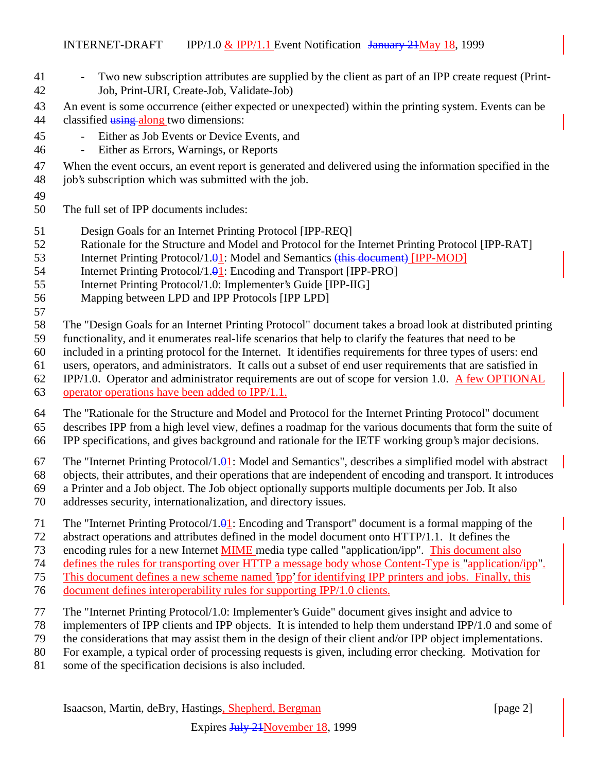- 41 Two new subscription attributes are supplied by the client as part of an IPP create request (Print-Job, Print-URI, Create-Job, Validate-Job)
- An event is some occurrence (either expected or unexpected) within the printing system. Events can be
- 44 classified using along two dimensions:
- Either as Job Events or Device Events, and
- Either as Errors, Warnings, or Reports

When the event occurs, an event report is generated and delivered using the information specified in the

- 48 job's subscription which was submitted with the job.
- 
- The full set of IPP documents includes:
- Design Goals for an Internet Printing Protocol [IPP-REQ]
- Rationale for the Structure and Model and Protocol for the Internet Printing Protocol [IPP-RAT]
- 53 Internet Printing Protocol/1.01: Model and Semantics (this document) [IPP-MOD]
- 54 Internet Printing Protocol/1.<del>0</del>1: Encoding and Transport [IPP-PRO]
- Internet Printing Protocol/1.0: Implementer's Guide [IPP-IIG]
- Mapping between LPD and IPP Protocols [IPP LPD]
- 

The "Design Goals for an Internet Printing Protocol" document takes a broad look at distributed printing

- functionality, and it enumerates real-life scenarios that help to clarify the features that need to be
- included in a printing protocol for the Internet. It identifies requirements for three types of users: end
- users, operators, and administrators. It calls out a subset of end user requirements that are satisfied in
- IPP/1.0. Operator and administrator requirements are out of scope for version 1.0. A few OPTIONAL
- operator operations have been added to IPP/1.1.

The "Rationale for the Structure and Model and Protocol for the Internet Printing Protocol" document

describes IPP from a high level view, defines a roadmap for the various documents that form the suite of

- IPP specifications, and gives background and rationale for the IETF working group's major decisions.
- 67 The "Internet Printing Protocol/1. $\theta$ 1: Model and Semantics", describes a simplified model with abstract
- objects, their attributes, and their operations that are independent of encoding and transport. It introduces
- a Printer and a Job object. The Job object optionally supports multiple documents per Job. It also
- addresses security, internationalization, and directory issues.
- The "Internet Printing Protocol/1.01: Encoding and Transport" document is a formal mapping of the
- abstract operations and attributes defined in the model document onto HTTP/1.1. It defines the
- encoding rules for a new Internet MIME media type called "application/ipp". This document also

defines the rules for transporting over HTTP a message body whose Content-Type is "application/ipp".

- This document defines a new scheme named 'ipp' for identifying IPP printers and jobs. Finally, this
- document defines interoperability rules for supporting IPP/1.0 clients.
- The "Internet Printing Protocol/1.0: Implementer's Guide" document gives insight and advice to
- implementers of IPP clients and IPP objects. It is intended to help them understand IPP/1.0 and some of
- the considerations that may assist them in the design of their client and/or IPP object implementations.
- For example, a typical order of processing requests is given, including error checking. Motivation for
- some of the specification decisions is also included.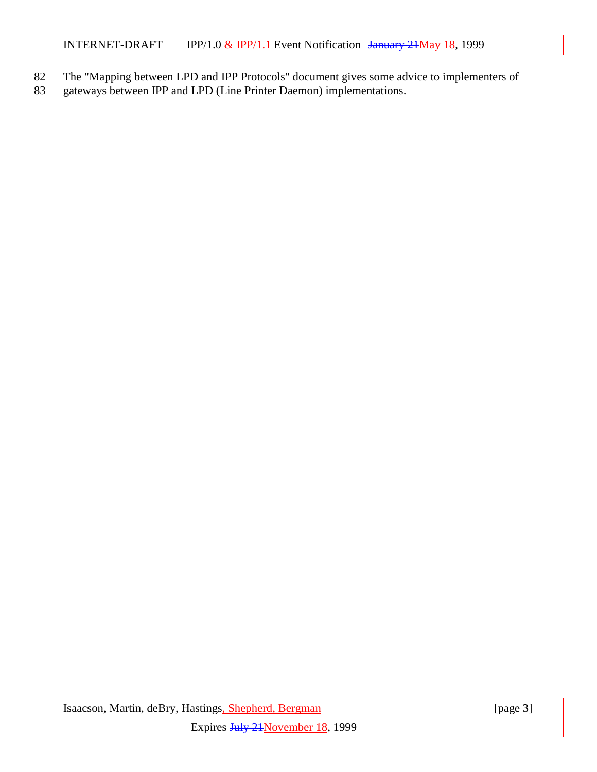INTERNET-DRAFT IPP/1.0  $&$  IPP/1.1 Event Notification January 21 May 18, 1999

- 82 The "Mapping between LPD and IPP Protocols" document gives some advice to implementers of
- 83 gateways between IPP and LPD (Line Printer Daemon) implementations.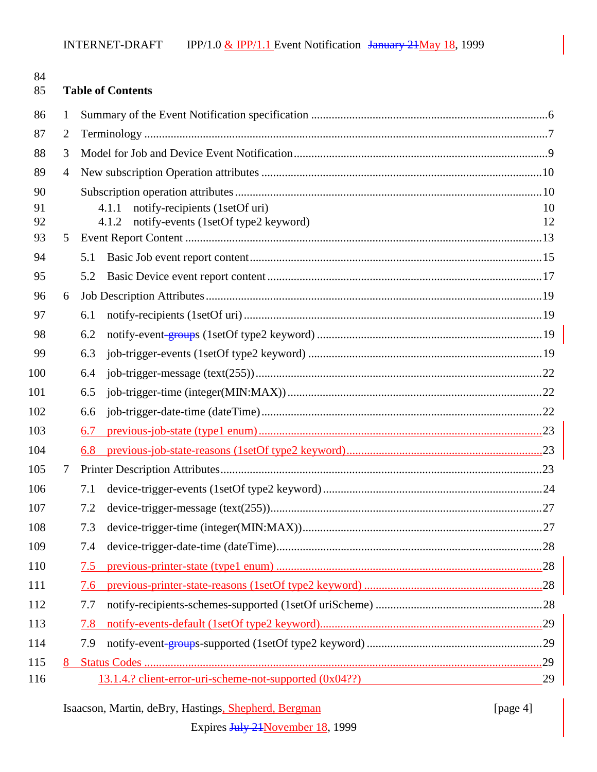| 84<br>85 |   | <b>Table of Contents</b>                                |    |
|----------|---|---------------------------------------------------------|----|
| 86       | 1 |                                                         |    |
| 87       | 2 |                                                         |    |
| 88       | 3 |                                                         |    |
| 89       | 4 |                                                         |    |
| 90       |   |                                                         |    |
| 91       |   | notify-recipients (1setOf uri)<br>4.1.1                 | 10 |
| 92       |   | notify-events (1setOf type2 keyword)<br>4.1.2           | 12 |
| 93       | 5 |                                                         |    |
| 94       |   | 5.1                                                     |    |
| 95       |   | 5.2                                                     |    |
| 96       | 6 |                                                         |    |
| 97       |   | 6.1                                                     |    |
| 98       |   | 6.2                                                     |    |
| 99       |   | 6.3                                                     |    |
| 100      |   | 6.4                                                     |    |
| 101      |   | 6.5                                                     |    |
| 102      |   | 6.6                                                     |    |
| 103      |   | 6.7                                                     |    |
| 104      |   |                                                         |    |
| 105      | 7 |                                                         |    |
| 106      |   | 7.1                                                     |    |
| 107      |   |                                                         |    |
| 108      |   | 7.3                                                     |    |
| 109      |   | 7.4                                                     |    |
| 110      |   | 7.5                                                     |    |
| 111      |   | 7.6                                                     |    |
| 112      |   | 7.7                                                     |    |
| 113      |   | 7.8                                                     |    |
| 114      |   | 7.9                                                     |    |
| 115      |   |                                                         |    |
| 116      |   | 13.1.4.? client-error-uri-scheme-not-supported (0x04??) | 29 |

# Isaacson, Martin, deBry, Hastings, Shepherd, Bergman [page 4]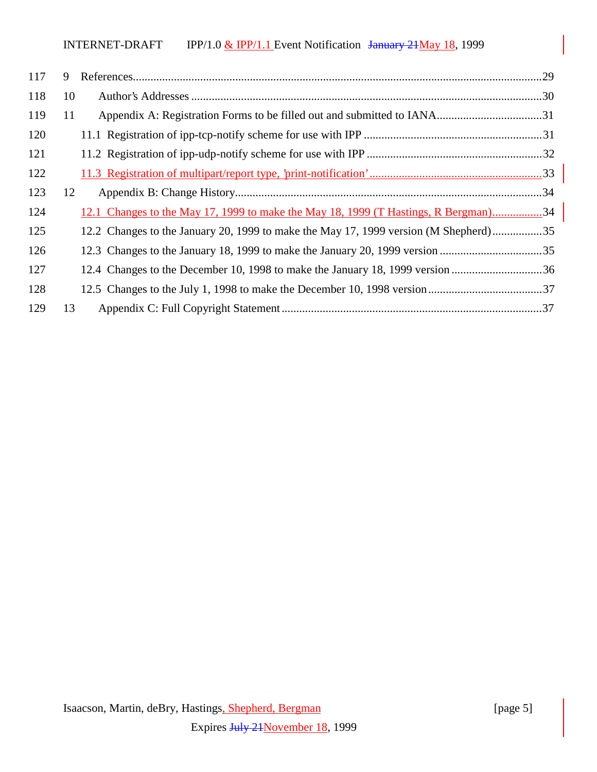| 117 | 9  |                                                                                      |  |
|-----|----|--------------------------------------------------------------------------------------|--|
| 118 | 10 |                                                                                      |  |
| 119 | 11 |                                                                                      |  |
| 120 |    |                                                                                      |  |
| 121 |    |                                                                                      |  |
| 122 |    |                                                                                      |  |
| 123 | 12 |                                                                                      |  |
| 124 |    | 12.1 Changes to the May 17, 1999 to make the May 18, 1999 (T Hastings, R Bergman)34  |  |
| 125 |    | 12.2 Changes to the January 20, 1999 to make the May 17, 1999 version (M Shepherd)35 |  |
| 126 |    | 12.3 Changes to the January 18, 1999 to make the January 20, 1999 version 35         |  |
| 127 |    | 12.4 Changes to the December 10, 1998 to make the January 18, 1999 version 36        |  |
| 128 |    |                                                                                      |  |
| 129 | 13 |                                                                                      |  |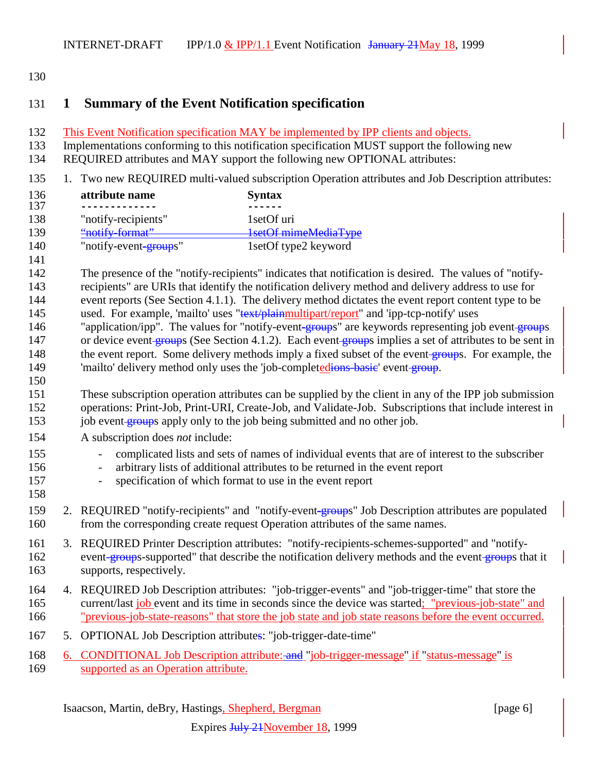## **1 Summary of the Event Notification specification**

This Event Notification specification MAY be implemented by IPP clients and objects.

Implementations conforming to this notification specification MUST support the following new

- REQUIRED attributes and MAY support the following new OPTIONAL attributes:
- 1. Two new REQUIRED multi-valued subscription Operation attributes and Job Description attributes:

| 136 | attribute name        | <b>Syntax</b>        |
|-----|-----------------------|----------------------|
| 137 |                       |                      |
| 138 | "notify-recipients"   | 1 set Of uri         |
| 139 | "notify-format"       | 1setOf mimeMediaType |
| 140 | "notify-event-groups" | 1setOf type2 keyword |
| 141 |                       |                      |

 The presence of the "notify-recipients" indicates that notification is desired. The values of "notify- recipients" are URIs that identify the notification delivery method and delivery address to use for event reports (See Section 4.1.1). The delivery method dictates the event report content type to be 145 used. For example, 'mailto' uses "text/plainmultipart/report" and 'ipp-tcp-notify' uses 146 "application/ipp". The values for "notify-event-groups" are keywords representing job event-groups 147 or device event groups (See Section 4.1.2). Each event groups implies a set of attributes to be sent in 148 the event report. Some delivery methods imply a fixed subset of the event groups. For example, the 149 'mailto' delivery method only uses the 'job-completedions-basic' event group.

 These subscription operation attributes can be supplied by the client in any of the IPP job submission operations: Print-Job, Print-URI, Create-Job, and Validate-Job. Subscriptions that include interest in 153 job event groups apply only to the job being submitted and no other job.

- A subscription does *not* include:
- complicated lists and sets of names of individual events that are of interest to the subscriber
- arbitrary lists of additional attributes to be returned in the event report
- specification of which format to use in the event report
- 159 2. REQUIRED "notify-recipients" and "notify-event-groups" Job Description attributes are populated from the corresponding create request Operation attributes of the same names.
- 3. REQUIRED Printer Description attributes: "notify-recipients-schemes-supported" and "notify-162 event-groups-supported" that describe the notification delivery methods and the event-groups that it supports, respectively.
- 4. REQUIRED Job Description attributes: "job-trigger-events" and "job-trigger-time" that store the current/last job event and its time in seconds since the device was started; "previous-job-state" and "previous-job-state-reasons" that store the job state and job state reasons before the event occurred.
- 5. OPTIONAL Job Description attributes: "job-trigger-date-time"
- 168 6. CONDITIONAL Job Description attribute: and "job-trigger-message" if "status-message" is supported as an Operation attribute.

Isaacson, Martin, deBry, Hastings, Shepherd, Bergman [page 6]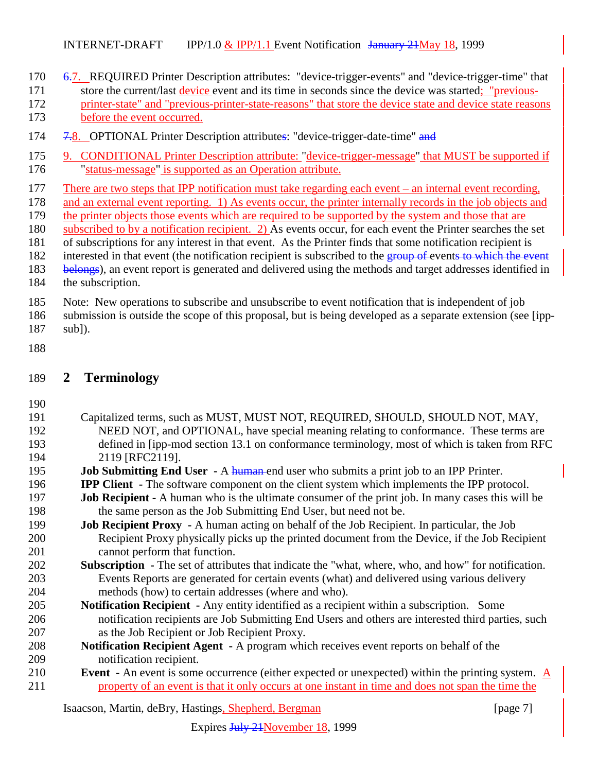6.7. REQUIRED Printer Description attributes: "device-trigger-events" and "device-trigger-time" that

- store the current/last device event and its time in seconds since the device was started; "previous- printer-state" and "previous-printer-state-reasons" that store the device state and device state reasons before the event occurred.
- 174 7.8. OPTIONAL Printer Description attributes: "device-trigger-date-time" and
- 9. CONDITIONAL Printer Description attribute: "device-trigger-message" that MUST be supported if "status-message" is supported as an Operation attribute.
- There are two steps that IPP notification must take regarding each event an internal event recording,
- and an external event reporting. 1) As events occur, the printer internally records in the job objects and
- the printer objects those events which are required to be supported by the system and those that are
- subscribed to by a notification recipient. 2) As events occur, for each event the Printer searches the set
- of subscriptions for any interest in that event. As the Printer finds that some notification recipient is
- 182 interested in that event (the notification recipient is subscribed to the group of events to which the event
- 183 belongs), an event report is generated and delivered using the methods and target addresses identified in the subscription.
- Note: New operations to subscribe and unsubscribe to event notification that is independent of job
- submission is outside the scope of this proposal, but is being developed as a separate extension (see [ipp-sub]).
- 

## **2 Terminology**

- Capitalized terms, such as MUST, MUST NOT, REQUIRED, SHOULD, SHOULD NOT, MAY, 192 NEED NOT, and OPTIONAL, have special meaning relating to conformance. These terms are defined in [ipp-mod section 13.1 on conformance terminology, most of which is taken from RFC 2119 [RFC2119]. **Job Submitting End User** - A human end user who submits a print job to an IPP Printer.
- **IPP Client** The software component on the client system which implements the IPP protocol.
- **Job Recipient** A human who is the ultimate consumer of the print job. In many cases this will be the same person as the Job Submitting End User, but need not be.
- **Job Recipient Proxy** A human acting on behalf of the Job Recipient. In particular, the Job Recipient Proxy physically picks up the printed document from the Device, if the Job Recipient cannot perform that function.
- **Subscription** The set of attributes that indicate the "what, where, who, and how" for notification. Events Reports are generated for certain events (what) and delivered using various delivery methods (how) to certain addresses (where and who).
- **Notification Recipient** Any entity identified as a recipient within a subscription. Some notification recipients are Job Submitting End Users and others are interested third parties, such as the Job Recipient or Job Recipient Proxy.
- **Notification Recipient Agent** A program which receives event reports on behalf of the notification recipient.
- **Event** An event is some occurrence (either expected or unexpected) within the printing system. A property of an event is that it only occurs at one instant in time and does not span the time the

Isaacson, Martin, deBry, Hastings, Shepherd, Bergman [page 7]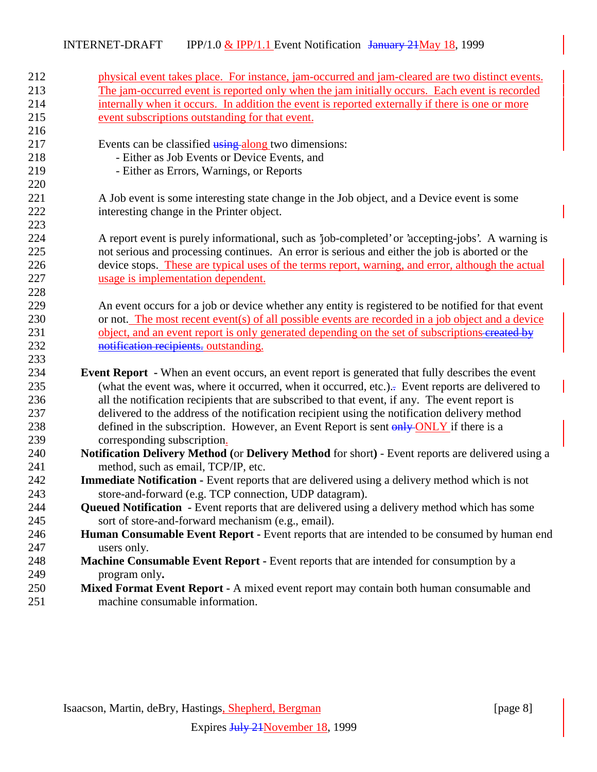| 212 | physical event takes place. For instance, jam-occurred and jam-cleared are two distinct events.         |
|-----|---------------------------------------------------------------------------------------------------------|
| 213 | The jam-occurred event is reported only when the jam initially occurs. Each event is recorded           |
| 214 | internally when it occurs. In addition the event is reported externally if there is one or more         |
| 215 | event subscriptions outstanding for that event.                                                         |
| 216 |                                                                                                         |
| 217 | Events can be classified using along two dimensions:                                                    |
| 218 | - Either as Job Events or Device Events, and                                                            |
| 219 | - Either as Errors, Warnings, or Reports                                                                |
| 220 |                                                                                                         |
| 221 | A Job event is some interesting state change in the Job object, and a Device event is some              |
| 222 | interesting change in the Printer object.                                                               |
| 223 |                                                                                                         |
| 224 | A report event is purely informational, such as 'job-completed' or 'accepting-jobs'. A warning is       |
| 225 | not serious and processing continues. An error is serious and either the job is aborted or the          |
| 226 | device stops. These are typical uses of the terms report, warning, and error, although the actual       |
| 227 | usage is implementation dependent.                                                                      |
| 228 |                                                                                                         |
| 229 | An event occurs for a job or device whether any entity is registered to be notified for that event      |
| 230 | or not. The most recent event(s) of all possible events are recorded in a job object and a device       |
| 231 | object, and an event report is only generated depending on the set of subscriptions-created by          |
| 232 | notification recipients, outstanding.                                                                   |
| 233 |                                                                                                         |
| 234 | <b>Event Report</b> - When an event occurs, an event report is generated that fully describes the event |
| 235 | (what the event was, where it occurred, when it occurred, etc.). Event reports are delivered to         |
| 236 | all the notification recipients that are subscribed to that event, if any. The event report is          |
| 237 | delivered to the address of the notification recipient using the notification delivery method           |
| 238 | defined in the subscription. However, an Event Report is sent only ONLY if there is a                   |
| 239 | corresponding subscription.                                                                             |
| 240 | Notification Delivery Method (or Delivery Method for short) - Event reports are delivered using a       |
| 241 | method, such as email, TCP/IP, etc.                                                                     |
| 242 | <b>Immediate Notification -</b> Event reports that are delivered using a delivery method which is not   |
| 243 | store-and-forward (e.g. TCP connection, UDP datagram).                                                  |
| 244 | <b>Queued Notification</b> - Event reports that are delivered using a delivery method which has some    |
| 245 | sort of store-and-forward mechanism (e.g., email).                                                      |
| 246 | Human Consumable Event Report - Event reports that are intended to be consumed by human end             |
| 247 | users only.                                                                                             |
| 248 | Machine Consumable Event Report - Event reports that are intended for consumption by a                  |
| 249 | program only.                                                                                           |
| 250 | Mixed Format Event Report - A mixed event report may contain both human consumable and                  |
| 251 | machine consumable information.                                                                         |
|     |                                                                                                         |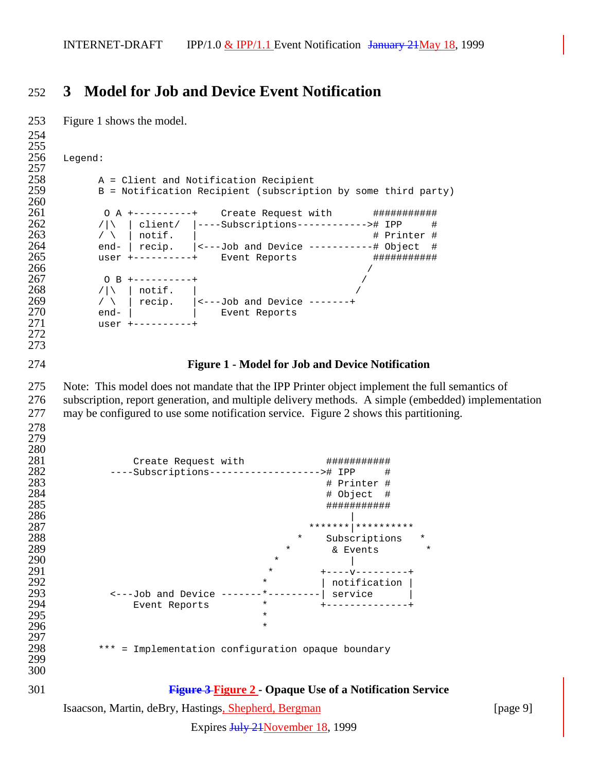## **3 Model for Job and Device Event Notification**

```
Isaacson, Martin, deBry, Hastings, Shepherd, Bergman [page 9]
253 Figure 1 shows the model.
254
255<br>256
    Legend:
\frac{257}{258}258 A = Client and Notification Recipient<br>259 B = Notification Recipient (subscript
        259 B = Notification Recipient (subscription by some third party)
260<br>261
261 0 A +----------+ Create Request with #############<br>262 /\\ client/ |----Subscriptions-----------># IPP #
262 /|\ | client/ |----Subscriptions-----------># IPP #<br>263 / \ | notif. | # Printer #
263 / \ | notif. | \qquad # Printer #
264 end- | recip. |<---Job and Device -----------# Object #
265 user +----------+ Event Reports #################<br>266 /
266 /
267 O B +----------+ /
268 /|\ | notif. |
269 / \ \backslash \ \mid recip. \mid <---Job and Device -------+
270 end- | | Event Reports
271 user +----------+
272
273
274 Figure 1 - Model for Job and Device Notification
275 Note: This model does not mandate that the IPP Printer object implement the full semantics of
276 subscription, report generation, and multiple delivery methods. A simple (embedded) implementation
277 may be configured to use some notification service. Figure 2 shows this partitioning.
278
279
\frac{280}{281}281 Create Request with ################<br>282 ----Subscriptions-----------------># IPP #
282 ----Subscriptions-------------------># IPP #
283 # Printer #
284 # Object #
285 ###########
286287 *******|**********
288 * Subscriptions *
289 * & Events<br>290 * & Events
290 * |
291 * +---------+<br>292 * Inotification
292 * | notification |
293 <---Job and Device -------*---------| service |
294 Event Reports * +--------------+
295 *296 *
297<br>298
        *** = Implementation configuration opaque boundary
299
300
301 Figure 3 Figure 2 - Opaque Use of a Notification Service
```
Expires July 21 November 18, 1999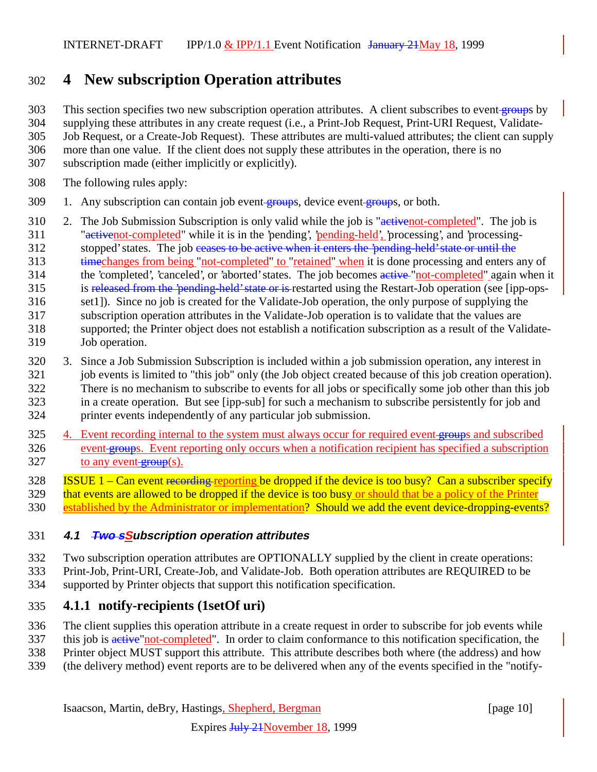# 302 **4 New subscription Operation attributes**

303 This section specifies two new subscription operation attributes. A client subscribes to event groups by

304 supplying these attributes in any create request (i.e., a Print-Job Request, Print-URI Request, Validate-

305 Job Request, or a Create-Job Request). These attributes are multi-valued attributes; the client can supply

- 306 more than one value. If the client does not supply these attributes in the operation, there is no
- 307 subscription made (either implicitly or explicitly).
- 308 The following rules apply:
- 309 1. Any subscription can contain job event groups, device event groups, or both.
- 310 2. The Job Submission Subscription is only valid while the job is "activenot-completed". The job is 311 "activenot-completed" while it is in the 'pending', 'pending-held', 'processing', and 'processing-312 stopped' states. The job ceases to be active when it enters the 'pending-held' state or until the
- 313 timechanges from being "not-completed" to "retained" when it is done processing and enters any of
- 314 the 'completed', 'canceled', or 'aborted' states. The job becomes active "not-completed" again when it
- 315 is released from the 'pending-held' state or is restarted using the Restart-Job operation (see [ipp-ops-
- 316 set1]). Since no job is created for the Validate-Job operation, the only purpose of supplying the
- 317 subscription operation attributes in the Validate-Job operation is to validate that the values are 318 supported; the Printer object does not establish a notification subscription as a result of the Validate-319 Job operation.
- 320 3. Since a Job Submission Subscription is included within a job submission operation, any interest in 321 job events is limited to "this job" only (the Job object created because of this job creation operation). 322 There is no mechanism to subscribe to events for all jobs or specifically some job other than this job 323 in a create operation. But see [ipp-sub] for such a mechanism to subscribe persistently for job and 324 printer events independently of any particular job submission.
- 325 4. Event recording internal to the system must always occur for required event groups and subscribed 326 event groups. Event reporting only occurs when a notification recipient has specified a subscription  $327$  to any event-group(s).
- 
- 328 ISSUE 1 Can event <del>recording reporting</del> be dropped if the device is too busy? Can a subscriber specify<br>329 that events are allowed to be dropped if the device is too busy or should that be a policy of the Printer that events are allowed to be dropped if the device is too busy or should that be a policy of the Printer
- 330 established by the Administrator or implementation? Should we add the event device-dropping-events?

## 331 **4.1 Two sSubscription operation attributes**

- 332 Two subscription operation attributes are OPTIONALLY supplied by the client in create operations:
- 333 Print-Job, Print-URI, Create-Job, and Validate-Job. Both operation attributes are REQUIRED to be
- 334 supported by Printer objects that support this notification specification.

## 335 **4.1.1 notify-recipients (1setOf uri)**

- 336 The client supplies this operation attribute in a create request in order to subscribe for job events while
- 337 this job is active "not-completed". In order to claim conformance to this notification specification, the
- 338 Printer object MUST support this attribute. This attribute describes both where (the address) and how
- 339 (the delivery method) event reports are to be delivered when any of the events specified in the "notify-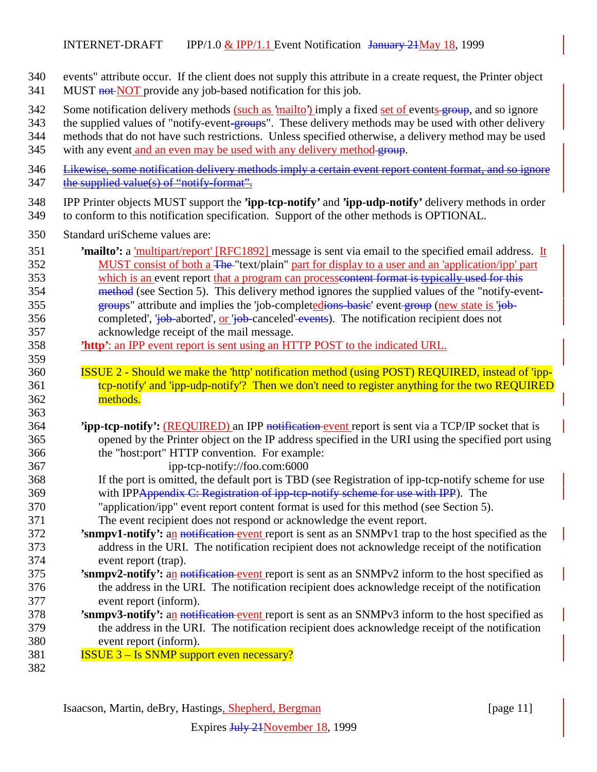- events" attribute occur. If the client does not supply this attribute in a create request, the Printer object
- 341 MUST **not** NOT provide any job-based notification for this job.
- 342 Some notification delivery methods (such as 'mailto') imply a fixed set of events group, and so ignore
- 343 the supplied values of "notify-event-groups". These delivery methods may be used with other delivery
- methods that do not have such restrictions. Unless specified otherwise, a delivery method may be used
- 345 with any event and an even may be used with any delivery method-group.
- Likewise, some notification delivery methods imply a certain event report content format, and so ignore 347 the supplied value(s) of "notify-format".
- IPP Printer objects MUST support the **'ipp-tcp-notify'** and **'ipp-udp-notify'** delivery methods in order to conform to this notification specification. Support of the other methods is OPTIONAL.
- Standard uriScheme values are:
- **'mailto':** a 'multipart/report' [RFC1892] message is sent via email to the specified email address. It 352 MUST consist of both a <del>The</del> "text/plain" part for display to a user and an 'application/ipp' part which is an event report that a program can processcontent format is typically used for this 354 method (see Section 5). This delivery method ignores the supplied values of the "notify-event-355 groups" attribute and implies the 'job-completedions-basic' event group (new state is 'job-356 completed', 'job-aborted', or 'job-canceled' events). The notification recipient does not acknowledge receipt of the mail message.
- **'http'**: an IPP event report is sent using an HTTP POST to the indicated URL.
- ISSUE 2 Should we make the 'http' notification method (using POST) REQUIRED, instead of 'ipp-361 tcp-notify' and 'ipp-udp-notify'? Then we don't need to register anything for the two REQUIRED methods.
- **'ipp-tcp-notify':** (REQUIRED) an IPP notification event report is sent via a TCP/IP socket that is opened by the Printer object on the IP address specified in the URI using the specified port using the "host:port" HTTP convention. For example:
- ipp-tcp-notify://foo.com:6000
- If the port is omitted, the default port is TBD (see Registration of ipp-tcp-notify scheme for use 369 with IPPAppendix C: Registration of ipp-tcp-notify scheme for use with IPP). The
- "application/ipp" event report content format is used for this method (see Section 5).
- The event recipient does not respond or acknowledge the event report.
- **'snmpv1-notify':** an notification event report is sent as an SNMPv1 trap to the host specified as the address in the URI. The notification recipient does not acknowledge receipt of the notification event report (trap).
- **'snmpv2-notify':** an notification event report is sent as an SNMPv2 inform to the host specified as the address in the URI. The notification recipient does acknowledge receipt of the notification event report (inform).
- **'snmpv3-notify':** an notification event report is sent as an SNMPv3 inform to the host specified as the address in the URI. The notification recipient does acknowledge receipt of the notification event report (inform).
- **ISSUE 3 Is SNMP support even necessary?**
-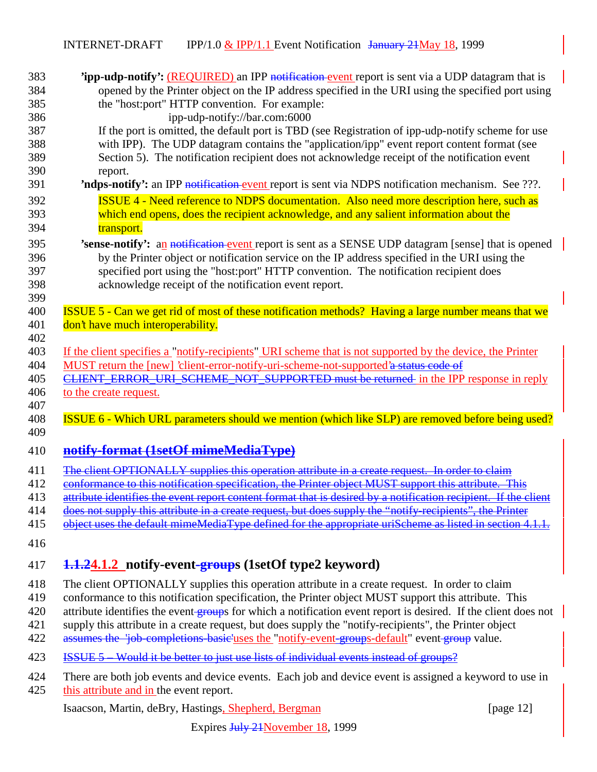| 383 | <b>Tipp-udp-notify':</b> (REQUIRED) an IPP notification-event report is sent via a UDP datagram that is                                                                                                 |
|-----|---------------------------------------------------------------------------------------------------------------------------------------------------------------------------------------------------------|
| 384 | opened by the Printer object on the IP address specified in the URI using the specified port using                                                                                                      |
| 385 | the "host:port" HTTP convention. For example:                                                                                                                                                           |
| 386 | ipp-udp-notify://bar.com:6000                                                                                                                                                                           |
| 387 | If the port is omitted, the default port is TBD (see Registration of ipp-udp-notify scheme for use                                                                                                      |
| 388 | with IPP). The UDP datagram contains the "application/ipp" event report content format (see                                                                                                             |
| 389 | Section 5). The notification recipient does not acknowledge receipt of the notification event                                                                                                           |
| 390 | report.                                                                                                                                                                                                 |
| 391 | 'ndps-notify': an IPP notification event report is sent via NDPS notification mechanism. See ???.                                                                                                       |
| 392 | <b>ISSUE 4 - Need reference to NDPS documentation.</b> Also need more description here, such as                                                                                                         |
| 393 | which end opens, does the recipient acknowledge, and any salient information about the                                                                                                                  |
| 394 | transport.                                                                                                                                                                                              |
|     |                                                                                                                                                                                                         |
| 395 | 'sense-notify': an notification event report is sent as a SENSE UDP datagram [sense] that is opened                                                                                                     |
| 396 | by the Printer object or notification service on the IP address specified in the URI using the                                                                                                          |
| 397 | specified port using the "host:port" HTTP convention. The notification recipient does                                                                                                                   |
| 398 | acknowledge receipt of the notification event report.                                                                                                                                                   |
| 399 |                                                                                                                                                                                                         |
| 400 | <b>ISSUE 5 - Can we get rid of most of these notification methods? Having a large number means that we</b>                                                                                              |
| 401 | don't have much interoperability.                                                                                                                                                                       |
| 402 |                                                                                                                                                                                                         |
| 403 | If the client specifies a "notify-recipients" URI scheme that is not supported by the device, the Printer                                                                                               |
| 404 | MUST return the [new] 'client-error-notify-uri-scheme-not-supported'a status code of                                                                                                                    |
| 405 | CLIENT_ERROR_URI_SCHEME_NOT_SUPPORTED must be returned in the IPP response in reply                                                                                                                     |
| 406 | to the create request.                                                                                                                                                                                  |
| 407 |                                                                                                                                                                                                         |
| 408 | ISSUE 6 - Which URL parameters should we mention (which like SLP) are removed before being used?                                                                                                        |
| 409 |                                                                                                                                                                                                         |
| 410 | notify-format (1setOf mimeMediaType)                                                                                                                                                                    |
| 411 | The client OPTIONALLY supplies this operation attribute in a create request.<br>In order to claim                                                                                                       |
| 412 | e <del>t MUST support this attrib</del><br>ecification,<br>the Printer                                                                                                                                  |
| 413 | attribute identifies the event report content format that is desired by a notification recipient. If the client                                                                                         |
| 414 |                                                                                                                                                                                                         |
| 415 | <del>does not supply this attribute in a create request, but does supply the "notify-recipients", the Printer</del><br>default mimeMediaType defined for the appropriate uriScheme as listed in section |
|     |                                                                                                                                                                                                         |
| 416 |                                                                                                                                                                                                         |
| 417 | 1.1.24.1.2 notify-event-groups (1setOf type2 keyword)                                                                                                                                                   |
| 418 | The client OPTIONALLY supplies this operation attribute in a create request. In order to claim                                                                                                          |
| 419 | conformance to this notification specification, the Printer object MUST support this attribute. This                                                                                                    |
| 420 | attribute identifies the event groups for which a notification event report is desired. If the client does not                                                                                          |
| 421 | supply this attribute in a create request, but does supply the "notify-recipients", the Printer object                                                                                                  |
| 422 | assumes the 'job-completions-basic'uses the "notify-event-groups-default" event-group value.                                                                                                            |
| 423 | <b>ISSUE 5</b> – Would it be better to just use lists of individual events instead of groups?                                                                                                           |
| 424 | There are both job events and device events. Each job and device event is assigned a keyword to use in                                                                                                  |
| 425 | this attribute and in the event report.                                                                                                                                                                 |
|     |                                                                                                                                                                                                         |
|     | Isaacson, Martin, deBry, Hastings, Shepherd, Bergman<br>[page $12$ ]                                                                                                                                    |

Expires July 21November 18, 1999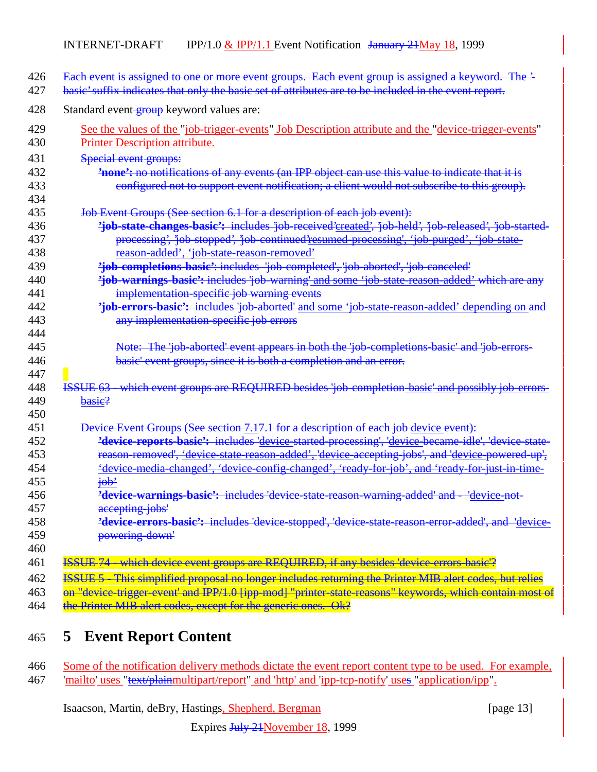| 426        | Each event is assigned to one or more event groups. Each event group is assigned a keyword. The '-      |
|------------|---------------------------------------------------------------------------------------------------------|
| 427        | basic' suffix indicates that only the basic set of attributes are to be included in the event report.   |
|            |                                                                                                         |
| 428        | Standard event-group keyword values are:                                                                |
| 429        | See the values of the "job-trigger-events" Job Description attribute and the "device-trigger-events"    |
| 430        | Printer Description attribute.                                                                          |
| 431        | Special event groups:                                                                                   |
| 432        | <b>'none':</b> no notifications of any events (an IPP object can use this value to indicate that it is  |
| 433        | configured not to support event notification; a client would not subscribe to this group).              |
| 434        |                                                                                                         |
| 435        | Job Event Groups (See section 6.1 for a description of each job event):                                 |
| 436        | 'job-state-changes-basic': includes 'job-received'created', 'job-held', 'job-released', 'job-started-   |
| 437        | processing', 'job-stopped', 'job-continued'resumed-processing', 'job-purged', 'job-state-               |
| 438        | reason added', 'job state reason removed'                                                               |
| 439        | 'job-completions-basic': includes 'job-completed', 'job-aborted', 'job-canceled'                        |
| 440        | <i>ijob-warnings-basic': includes 'job-warning' and some 'job-state-reason-added' which are any</i>     |
| 441        | implementation-specific job warning events                                                              |
| 442        | 'job-errors-basic': includes 'job-aborted' and some 'job-state-reason-added' depending on and           |
| 443        | any implementation specific job errors                                                                  |
| 444        |                                                                                                         |
| 445        | Note: The 'job-aborted' event appears in both the 'job-completions-basic' and 'job-errors-              |
| 446        | basic' event groups, since it is both a completion and an error.                                        |
| 447        |                                                                                                         |
| 448        | <b>ISSUE 63</b> which event groups are REQUIRED besides job completion basic and possibly job errors    |
| 449        | basie?                                                                                                  |
| 450        |                                                                                                         |
| 451        | Device Event Groups (See section 7.17.1 for a description of each job device event):                    |
| 452        | 'device-reports-basic': includes 'device-started-processing', 'device-became-idle', 'device-state-      |
| 453        | reason removed', 'device state reason added', 'device accepting jobs', and 'device powered up',         |
| 454        | 'device media changed', 'device config changed', 'ready for job', and 'ready for just in time           |
| 455        | <del>job'</del>                                                                                         |
| 456        | <b>'device-warnings-basic':</b> includes 'device-state-reason-warning-added' and - 'device-not-         |
| 457        | accepting-jobs'                                                                                         |
| 458        | 'device-errors-basic': includes 'device stopped', 'device state reason error added', and 'device-       |
| 459<br>460 | powering-down'                                                                                          |
|            |                                                                                                         |
| 461        | ISSUE 74 - which device event groups are REQUIRED, if any besides 'device-errors-basic'?                |
| 462        | ISSUE 5 - This simplified proposal no longer includes returning the Printer MIB alert codes, but relies |
| 463        | on "device trigger event' and IPP/1.0 [ipp-mod] "printer state reasons" keywords, which contain most of |
| 464        | the Printer MIB alert codes, except for the generic ones. Ok?                                           |
|            |                                                                                                         |

# 465 **5 Event Report Content**

466 Some of the notification delivery methods dictate the event report content type to be used. For example, 467 'mailto' uses "text/plainmultipart/report" and 'http' and 'ipp-tcp-notify' uses "application/ipp".

Isaacson, Martin, deBry, Hastings, Shepherd, Bergman [page 13]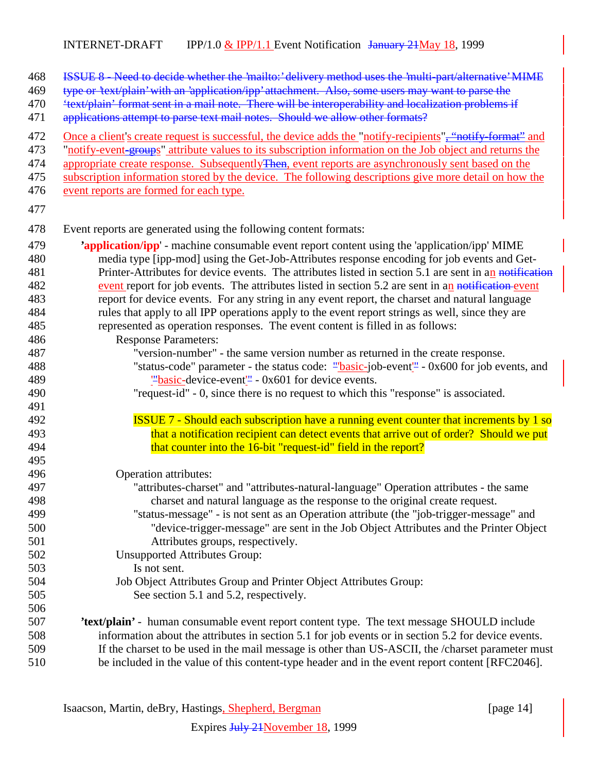| 468<br>469<br>470<br>471        | ISSUE 8 - Need to decide whether the 'mailto:' delivery method uses the 'multi-part/alternative' MIME<br>type or 'text/plain' with an 'application/ipp' attachment. Also, some users may want to parse the<br>'text/plain' format sent in a mail note. There will be interoperability and localization problems if<br>applications attempt to parse text mail notes. Should we allow other formats?                                                                              |
|---------------------------------|----------------------------------------------------------------------------------------------------------------------------------------------------------------------------------------------------------------------------------------------------------------------------------------------------------------------------------------------------------------------------------------------------------------------------------------------------------------------------------|
| 472<br>473<br>474<br>475<br>476 | Once a client's create request is successful, the device adds the "notify-recipients", "notify-format" and<br>"notify-event-groups" attribute values to its subscription information on the Job object and returns the<br>appropriate create response. Subsequently Then, event reports are asynchronously sent based on the<br>subscription information stored by the device. The following descriptions give more detail on how the<br>event reports are formed for each type. |
| 477                             |                                                                                                                                                                                                                                                                                                                                                                                                                                                                                  |
| 478                             | Event reports are generated using the following content formats:                                                                                                                                                                                                                                                                                                                                                                                                                 |
| 479                             | <b>'application/ipp'</b> - machine consumable event report content using the 'application/ipp' MIME                                                                                                                                                                                                                                                                                                                                                                              |
| 480                             | media type [ipp-mod] using the Get-Job-Attributes response encoding for job events and Get-                                                                                                                                                                                                                                                                                                                                                                                      |
| 481                             | Printer-Attributes for device events. The attributes listed in section 5.1 are sent in an notification                                                                                                                                                                                                                                                                                                                                                                           |
| 482                             | event report for job events. The attributes listed in section 5.2 are sent in an notification event                                                                                                                                                                                                                                                                                                                                                                              |
| 483                             | report for device events. For any string in any event report, the charset and natural language                                                                                                                                                                                                                                                                                                                                                                                   |
| 484                             | rules that apply to all IPP operations apply to the event report strings as well, since they are                                                                                                                                                                                                                                                                                                                                                                                 |
| 485                             | represented as operation responses. The event content is filled in as follows:                                                                                                                                                                                                                                                                                                                                                                                                   |
| 486                             | <b>Response Parameters:</b>                                                                                                                                                                                                                                                                                                                                                                                                                                                      |
| 487                             | "version-number" - the same version number as returned in the create response.                                                                                                                                                                                                                                                                                                                                                                                                   |
| 488                             | "status-code" parameter - the status code: "basic-job-event" - 0x600 for job events, and                                                                                                                                                                                                                                                                                                                                                                                         |
| 489<br>490                      | $\frac{100}{2}$ basic-device-event <sup>1</sup> - 0x601 for device events.<br>"request-id" - 0, since there is no request to which this "response" is associated.                                                                                                                                                                                                                                                                                                                |
| 491                             |                                                                                                                                                                                                                                                                                                                                                                                                                                                                                  |
| 492                             | <b>ISSUE 7 - Should each subscription have a running event counter that increments by 1 so</b>                                                                                                                                                                                                                                                                                                                                                                                   |
| 493                             | that a notification recipient can detect events that arrive out of order? Should we put                                                                                                                                                                                                                                                                                                                                                                                          |
| 494                             | that counter into the 16-bit "request-id" field in the report?                                                                                                                                                                                                                                                                                                                                                                                                                   |
| 495                             |                                                                                                                                                                                                                                                                                                                                                                                                                                                                                  |
| 496                             | Operation attributes:                                                                                                                                                                                                                                                                                                                                                                                                                                                            |
| 497                             | "attributes-charset" and "attributes-natural-language" Operation attributes - the same                                                                                                                                                                                                                                                                                                                                                                                           |
| 498                             | charset and natural language as the response to the original create request.                                                                                                                                                                                                                                                                                                                                                                                                     |
| 499                             | "status-message" - is not sent as an Operation attribute (the "job-trigger-message" and                                                                                                                                                                                                                                                                                                                                                                                          |
| 500                             | "device-trigger-message" are sent in the Job Object Attributes and the Printer Object                                                                                                                                                                                                                                                                                                                                                                                            |
| 501                             | Attributes groups, respectively.                                                                                                                                                                                                                                                                                                                                                                                                                                                 |
| 502                             | <b>Unsupported Attributes Group:</b>                                                                                                                                                                                                                                                                                                                                                                                                                                             |
| 503                             | Is not sent.                                                                                                                                                                                                                                                                                                                                                                                                                                                                     |
| 504                             | Job Object Attributes Group and Printer Object Attributes Group:                                                                                                                                                                                                                                                                                                                                                                                                                 |
| 505                             | See section 5.1 and 5.2, respectively.                                                                                                                                                                                                                                                                                                                                                                                                                                           |
| 506                             |                                                                                                                                                                                                                                                                                                                                                                                                                                                                                  |
| 507                             | 'text/plain' - human consumable event report content type. The text message SHOULD include                                                                                                                                                                                                                                                                                                                                                                                       |
| 508                             | information about the attributes in section 5.1 for job events or in section 5.2 for device events.                                                                                                                                                                                                                                                                                                                                                                              |
| 509                             | If the charset to be used in the mail message is other than US-ASCII, the /charset parameter must                                                                                                                                                                                                                                                                                                                                                                                |
| 510                             | be included in the value of this content-type header and in the event report content [RFC2046].                                                                                                                                                                                                                                                                                                                                                                                  |

Isaacson, Martin, deBry, Hastings, Shepherd, Bergman [page 14]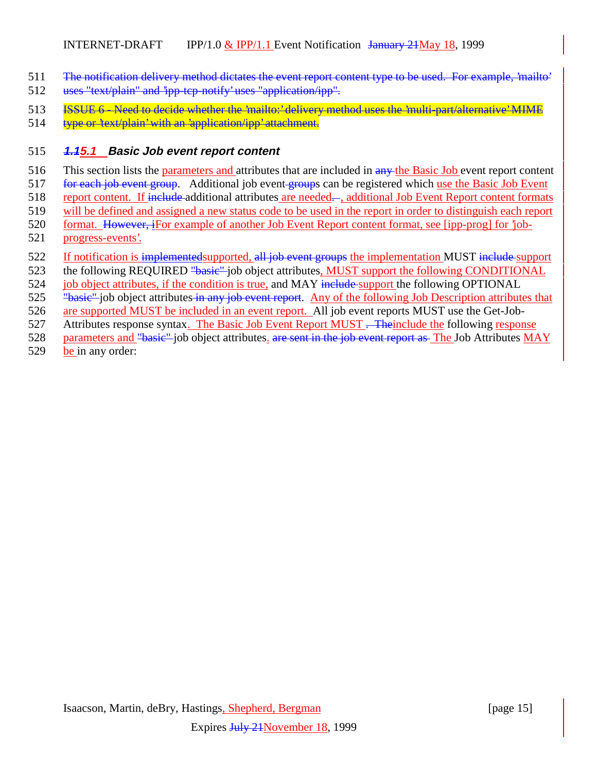- 511 The notification delivery method dictates the event report content type to be used. For example, 'mailto'
- 512 uses "text/plain" and 'ipp-tcp-notify' uses "application/ipp".
- 513 **ISSUE 6** Need to decide whether the 'mailto:' delivery method uses the 'multi-part/alternative' MIME
- 514 type or 'text/plain' with an 'application/ipp' attachment.

#### 515 **1.15.1 Basic Job event report content**

- 516 This section lists the parameters and attributes that are included in any the Basic Job event report content
- 517 for each job event group. Additional job event groups can be registered which use the Basic Job Event
- 518 report content. If include additional attributes are needed—, additional Job Event Report content formats
- 519 will be defined and assigned a new status code to be used in the report in order to distinguish each report
- 520 format. However, iFor example of another Job Event Report content format, see [ipp-prog] for 'job-521 progress-events'.
- 522 If notification is implementedsupported, all job event groups the implementation MUST include support
- 523 the following REQUIRED "basic" job object attributes, MUST support the following CONDITIONAL
- 524 job object attributes, if the condition is true, and MAY include support the following OPTIONAL
- 525 "basic" job object attributes in any job event report. Any of the following Job Description attributes that
- 526 are supported MUST be included in an event report. All job event reports MUST use the Get-Job-
- 527 Attributes response syntax. The Basic Job Event Report MUST . Theinclude the following response
- 528 parameters and "basic" job object attributes. are sent in the job event report as The Job Attributes MAY
- 529 be in any order: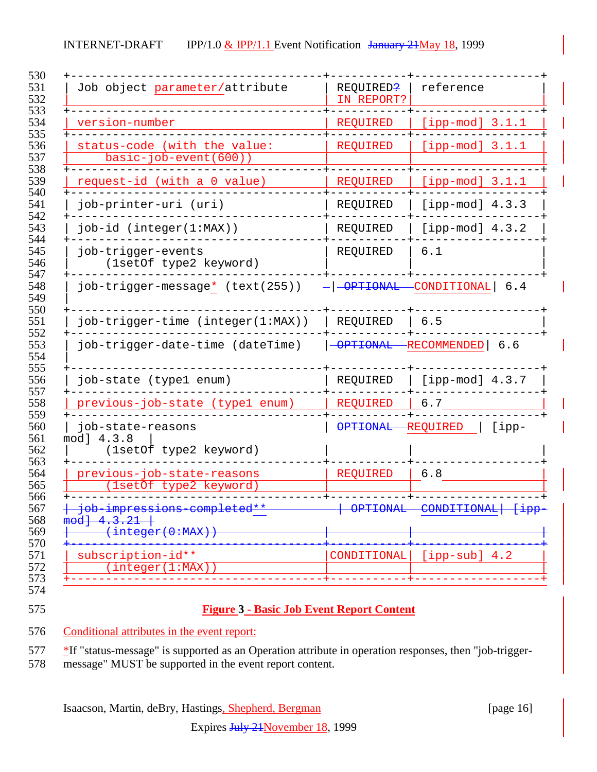| Job object parameter/attribute                                           | REQUIRED?<br>IN REPORT? | reference                         |
|--------------------------------------------------------------------------|-------------------------|-----------------------------------|
| version-number                                                           | REQUIRED                | [ipp-mod] $3.1.1$                 |
| status-code (with the value:<br>basic-job-event(600))                    | <b>REQUIRED</b>         | [ipp-mod] $3.1.1$                 |
| request-id (with a 0 value)                                              | <b>REQUIRED</b>         | $[ipp-mod]$ 3.1.1                 |
| job-printer-uri (uri)                                                    | REQUIRED                | [ipp-mod] $4.3.3$                 |
| $job-id$ (integer( $1:MAX$ ))                                            | REQUIRED                | [ipp-mod] $4.3.2$                 |
| job-trigger-events<br>(1setOf type2 keyword)                             | REQUIRED                | 6.1                               |
| job-trigger-message* (text(255))                                         | $- -$ OPTIONAL          | CONDITIONAL 6.4                   |
| job-trigger-time (integer(1:MAX))                                        | REQUIRED                | 6.5                               |
| job-trigger-date-time (dateTime)                                         | -OPTIONAL               | -RECOMMENDED   6.6                |
| job-state (type1 enum)                                                   | REQUIRED                | [ipp-mod] $4.3.7$                 |
| previous-job-state (type1 enum)                                          | REQUIRED                | 6.7                               |
| job-state-reasons<br>mod] 4.3.8<br>(1setOf type2 keyword)                | <b>OPTIONAL</b>         | <b>REQUIRED</b><br>$[$ ipp-       |
| previous-job-state-reasons<br>(1setOf type2 keyword)                     | <b>REQUIRED</b>         | 6.8                               |
| <del>job impressions completed</del><br>4.3.21<br>mod<br>(integer(0:MAX) | UL I I UNITI            | CONDIIIONAD<br><del>- קשב ז</del> |
| subscription-id**<br>(integer(1:MAX))                                    | CONDITIONAL             | $[ipp-sub] 4.2$                   |

#### **Figure 3 - Basic Job Event Report Content**

Conditional attributes in the event report:

577 \*If "status-message" is supported as an Operation attribute in operation responses, then "job-trigger-

message" MUST be supported in the event report content.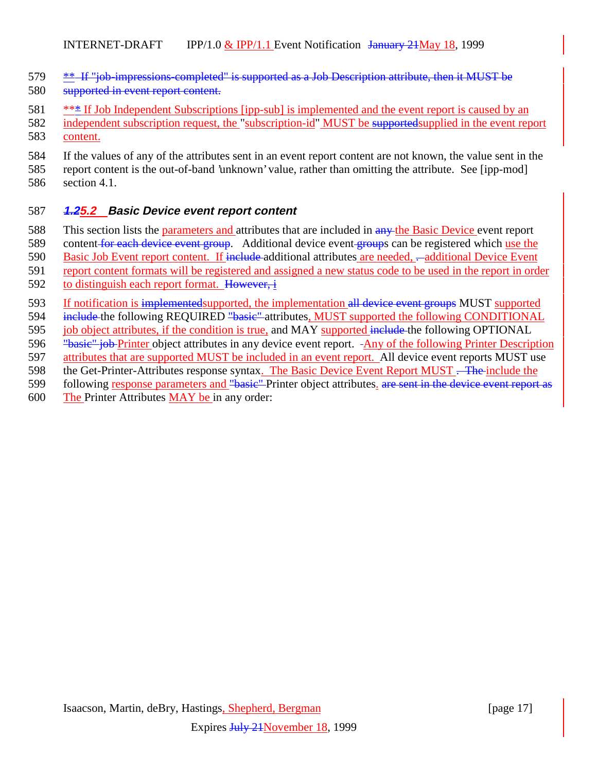- 579 \*\* If "job-impressions-completed" is supported as a Job Description attribute, then it MUST be
- 580 supported in event report content.
- 581 \*\*\* If Job Independent Subscriptions [ipp-sub] is implemented and the event report is caused by an
- 582 independent subscription request, the "subscription-id" MUST be supported supplied in the event report 583 content.
- 
- 584 If the values of any of the attributes sent in an event report content are not known, the value sent in the
- 585 report content is the out-of-band 'unknown' value, rather than omitting the attribute. See [ipp-mod] 586 section 4.1.

## 587 **1.25.2 Basic Device event report content**

- 588 This section lists the parameters and attributes that are included in any the Basic Device event report
- 589 content for each device event group. Additional device event groups can be registered which use the
- 590 Basic Job Event report content. If include additional attributes are needed, -additional Device Event
- 591 report content formats will be registered and assigned a new status code to be used in the report in order
- 592 to distinguish each report format. However, i
- 593 If notification is implementedsupported, the implementation all device event groups MUST supported
- 594 include the following REQUIRED "basic" attributes, MUST supported the following CONDITIONAL
- 595 job object attributes, if the condition is true, and MAY supported include the following OPTIONAL
- 596 "basic" job Printer object attributes in any device event report. Any of the following Printer Description
- 597 attributes that are supported MUST be included in an event report. All device event reports MUST use
- 598 the Get-Printer-Attributes response syntax. The Basic Device Event Report MUST . The include the
- 599 following response parameters and "basic" Printer object attributes. are sent in the device event report as
- 600 The Printer Attributes MAY be in any order: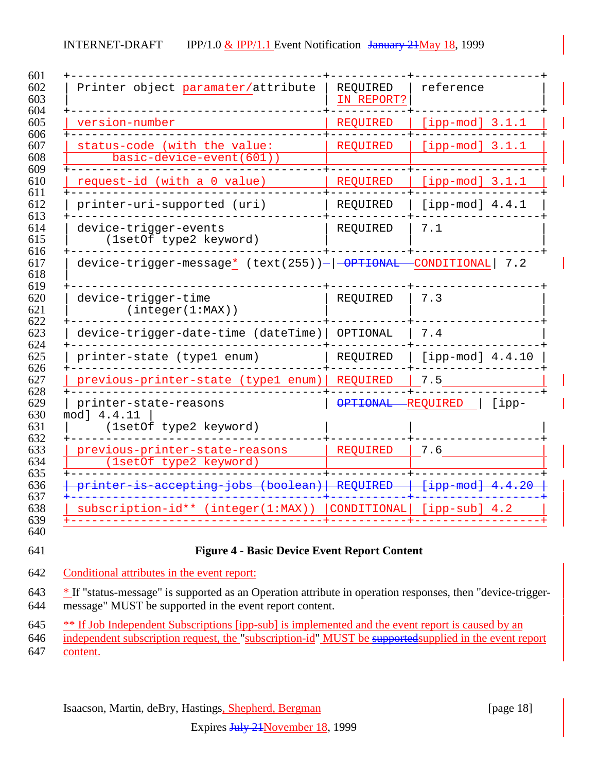| Printer object paramater/attribute                             | REQUIRED<br>IN REPORT? | reference                   |
|----------------------------------------------------------------|------------------------|-----------------------------|
| version-number                                                 | <b>REQUIRED</b>        | $[ipp-mod]$ 3.1.1           |
| status-code (with the value:<br>basic-device-event(601))       | <b>REQUIRED</b>        | $[ipp-mod]$ 3.1.1           |
| request-id (with a 0 value)                                    | REOUIRED               | $[ipp-mod]$ 3.1.1           |
| printer-uri-supported (uri)                                    | REQUIRED               | [ipp-mod] $4.4.1$           |
| device-trigger-events<br>(1setOf type2 keyword)                | REQUIRED               | 7.1                         |
| device-trigger-message* (text(255))- -OPTIONAL                 |                        | $\text{-CONDITIONAL}$ 7.2   |
| device-trigger-time<br>(integer(1:MAX))                        | REQUIRED               | 7.3                         |
| device-trigger-date-time (dateTime)                            | OPTIONAL               | 7.4                         |
| printer-state (typel enum)                                     | REQUIRED               | $[ipp-mod]$ 4.4.10          |
| previous-printer-state (typel enum)                            | REQUIRED               | 7.5                         |
| printer-state-reasons<br>mod] 4.4.11<br>(1setOf type2 keyword) | <b>OPTIONAL</b>        | <b>REQUIRED</b><br>$[$ ipp- |
| previous-printer-state-reasons<br>(1setOf type2 keyword)       | REQUIRED               | 7.6                         |
| printer is accepting jobs (boolean)                            | <b>REQUIRED</b>        | [ipp mod] 4.4.20            |
| subscription-id** (integer(1:MAX))                             | CONDITIONAL            | $[ipp-sub]$ 4.2             |

- Conditional attributes in the event report:
- \* If "status-message" is supported as an Operation attribute in operation responses, then "device-trigger-message" MUST be supported in the event report content.
- <sup>645</sup> \*\* If Job Independent Subscriptions [ipp-sub] is implemented and the event report is caused by an
- independent subscription request, the "subscription-id" MUST be supportedsupplied in the event report
- content.

Isaacson, Martin, deBry, Hastings, Shepherd, Bergman [page 18]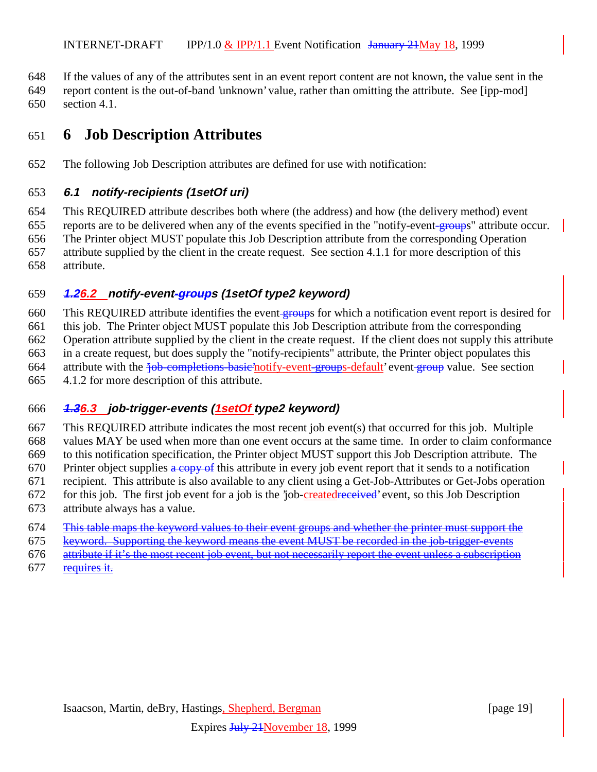If the values of any of the attributes sent in an event report content are not known, the value sent in the

 report content is the out-of-band 'unknown' value, rather than omitting the attribute. See [ipp-mod] section 4.1.

# **6 Job Description Attributes**

The following Job Description attributes are defined for use with notification:

#### **6.1 notify-recipients (1setOf uri)**

 This REQUIRED attribute describes both where (the address) and how (the delivery method) event 655 reports are to be delivered when any of the events specified in the "notify-event-groups" attribute occur. The Printer object MUST populate this Job Description attribute from the corresponding Operation attribute supplied by the client in the create request. See section 4.1.1 for more description of this attribute.

#### **1.26.2 notify-event-groups (1setOf type2 keyword)**

660 This REQUIRED attribute identifies the event groups for which a notification event report is desired for this job. The Printer object MUST populate this Job Description attribute from the corresponding Operation attribute supplied by the client in the create request. If the client does not supply this attribute in a create request, but does supply the "notify-recipients" attribute, the Printer object populates this 664 attribute with the <del>'job-completions-basic'</del>notify-event-groups-default' event-group value. See section 4.1.2 for more description of this attribute.

## **1.36.3 job-trigger-events (1setOf type2 keyword)**

 This REQUIRED attribute indicates the most recent job event(s) that occurred for this job. Multiple values MAY be used when more than one event occurs at the same time. In order to claim conformance to this notification specification, the Printer object MUST support this Job Description attribute. The 670 Printer object supplies  $\frac{a \cdot c}{c}$  this attribute in every job event report that it sends to a notification recipient. This attribute is also available to any client using a Get-Job-Attributes or Get-Jobs operation 672 for this job. The first job event for a job is the 'job-created received' event, so this Job Description

- attribute always has a value.
- This table maps the keyword values to their event groups and whether the printer must support the
- keyword. Supporting the keyword means the event MUST be recorded in the job-trigger-events
- attribute if it's the most recent job event, but not necessarily report the event unless a subscription
- requires it.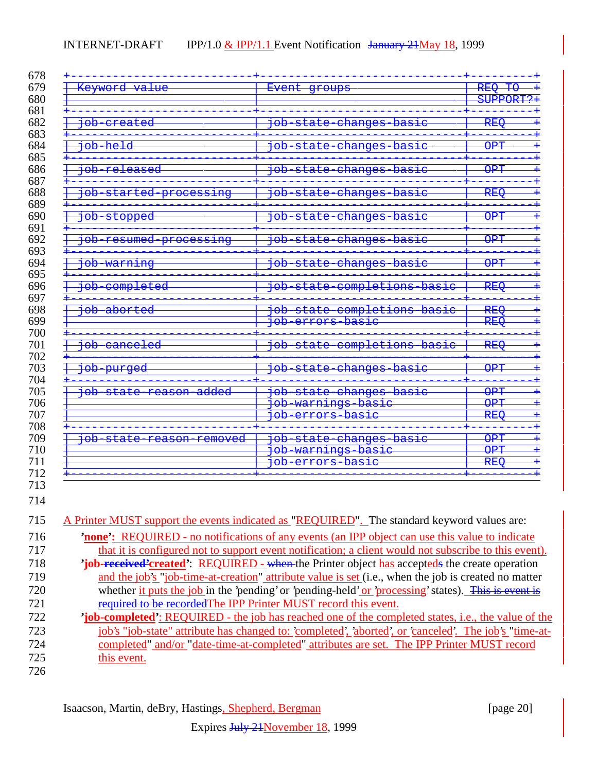| Keyword value                                     | Event groups                                                 | REQ TO                                |
|---------------------------------------------------|--------------------------------------------------------------|---------------------------------------|
|                                                   |                                                              | SUPPORT?+                             |
| <del>job created</del>                            | <del>job state changes basic</del>                           | <b>REQ</b>                            |
| <del>job held</del>                               | <del>job state changes basic</del>                           | <b>OPT</b>                            |
| job released                                      | <del>job state changes basic</del>                           | $\triangle$<br>UFI                    |
| <del>doj</del><br>started processing              | $\overline{d}$<br>state<br>changes<br><del>basic</del>       | $\bar{\texttt{R}}$ EQ                 |
| <del>job stopped</del>                            | job state<br>changes basic                                   | $\cap$ mm<br>UFI                      |
| <del>job resumed processing</del>                 | state changes basic<br><del>dor</del>                        | $\overline{\text{OPT}}$               |
| <del>job warning</del>                            | state changes basic<br><del>doj</del>                        | $\overline{\text{OPT}}$               |
| completed<br><del>doj</del>                       | state completions<br><del>doj</del><br><del>basic</del>      | $\bar{R}$                             |
| job aborted                                       | job state completions basic<br>do <del>j</del><br>basie      | $DII \cap$<br><del>nny</del>          |
|                                                   | errors                                                       | REQ                                   |
| <del>doj</del><br>canceled                        | state completions basic<br>$\overline{\overline{\text{de}}$  | $\overline{\text{REQ}}$               |
| <del>doj</del><br><del>purged</del>               | <del>dot</del><br>state changes basic                        | <b>OPT</b>                            |
| <del>job state reason added</del>                 | job state changes basic                                      | $\overline{\text{OPT}}$               |
|                                                   | <del>job warnings basic</del><br><del>job errors basic</del> | $\overline{\text{OPT}}$<br><b>REO</b> |
| <del>doj</del><br><del>state reason removed</del> | <del>state changes basic</del><br><del>doj</del>             | $\overline{\text{OPT}}$               |
|                                                   | warnings basic<br>dot<br><del>doj</del><br>errors basie      | <b>OPT</b><br><b>REQ</b>              |

| 715 | A Printer MUST support the events indicated as "REQUIRED". The standard keyword values are:               |
|-----|-----------------------------------------------------------------------------------------------------------|
| 716 | <b>none</b> : REQUIRED - no notifications of any events (an IPP object can use this value to indicate     |
| 717 | that it is configured not to support event notification; a client would not subscribe to this event).     |
| 718 | 'job-received'created': REQUIRED - when the Printer object has accepteds the create operation             |
| 719 | and the job's "job-time-at-creation" attribute value is set (i.e., when the job is created no matter      |
| 720 | whether it puts the job in the 'pending' or 'pending-held' or 'processing' states). This is event is      |
| 721 | required to be recorded The IPP Printer MUST record this event.                                           |
| 722 | <b>job-completed</b> : REQUIRED - the job has reached one of the completed states, i.e., the value of the |
| 723 | job's "job-state" attribute has changed to: completed', aborted', or canceled'. The job's "time-at-       |
| 724 | completed" and/or "date-time-at-completed" attributes are set. The IPP Printer MUST record                |
| 725 | this event.                                                                                               |
| 726 |                                                                                                           |

Isaacson, Martin, deBry, Hastings, Shepherd, Bergman [page 20]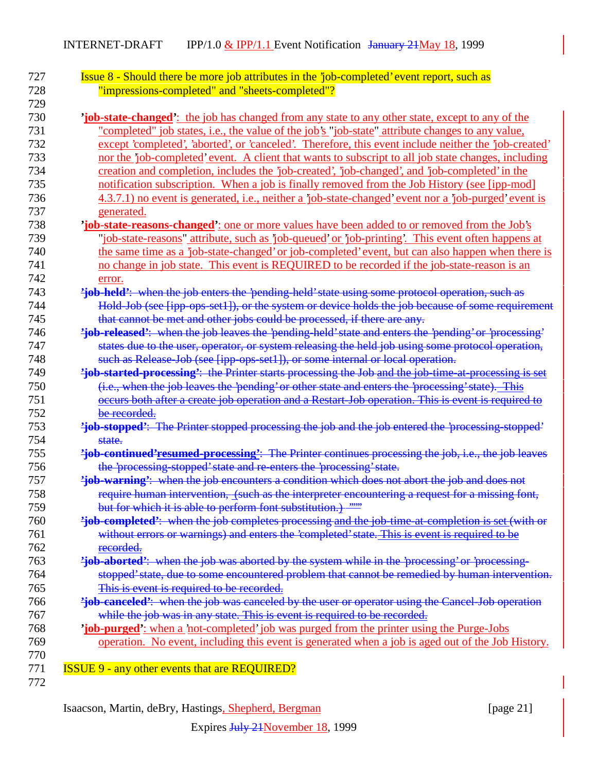| <b>Issue 8 - Should there be more job attributes in the 'job-completed' event report, such as</b><br>"impressions-completed" and "sheets-completed"? |
|------------------------------------------------------------------------------------------------------------------------------------------------------|
| <b>job-state-changed</b> ': the job has changed from any state to any other state, except to any of the                                              |
| "completed" job states, i.e., the value of the job's "job-state" attribute changes to any value,                                                     |
| except 'completed', 'aborted', or 'canceled'. Therefore, this event include neither the 'job-created'                                                |
| nor the 'job-completed' event. A client that wants to subscript to all job state changes, including                                                  |
| creation and completion, includes the 'job-created', 'job-changed', and 'job-completed' in the                                                       |
| notification subscription. When a job is finally removed from the Job History (see [ipp-mod]                                                         |
| 4.3.7.1) no event is generated, i.e., neither a 'job-state-changed' event nor a 'job-purged' event is                                                |
| generated.                                                                                                                                           |
| <b>job-state-reasons-changed</b> : one or more values have been added to or removed from the Job's                                                   |
| "job-state-reasons" attribute, such as 'job-queued' or 'job-printing'. This event often happens at                                                   |
| the same time as a 'job-state-changed' or job-completed' event, but can also happen when there is                                                    |
| no change in job state. This event is REQUIRED to be recorded if the job-state-reason is an                                                          |
| error.                                                                                                                                               |
| 'job-held': when the job enters the 'pending-held' state using some protocol operation, such as                                                      |
| Hold Job (see [ipp ops set1]), or the system or device holds the job because of some requirement                                                     |
| that cannot be met and other jobs could be processed, if there are any.                                                                              |
| 'job-released': when the job leaves the 'pending-held' state and enters the 'pending' or 'processing'                                                |
| states due to the user, operator, or system releasing the held job using some protocol operation,                                                    |
| such as Release-Job (see [ipp-ops-set1]), or some internal or local operation.                                                                       |
| 'job-started-processing': the Printer starts processing the Job and the job time at processing is set                                                |
| (i.e., when the job leaves the 'pending' or other state and enters the 'processing' state). This                                                     |
| occurs both after a create job operation and a Restart-Job operation. This is event is required to                                                   |
| be recorded.                                                                                                                                         |
| 'job-stopped': The Printer stopped processing the job and the job entered the 'processing-stopped'                                                   |
| state.                                                                                                                                               |
| 'job-continued'resumed-processing': The Printer continues processing the job, i.e., the job leaves                                                   |
| the 'processing-stopped' state and re-enters the 'processing' state.                                                                                 |
| 'job-warning': when the job encounters a condition which does not abort the job and does not                                                         |
| require human intervention, (such as the interpreter encountering a request for a missing font,                                                      |
| but for which it is able to perform font substitution.) ""                                                                                           |
| 'job-completed': when the job completes processing and the job time at completion is set (with or                                                    |
| without errors or warnings) and enters the 'completed' state. This is event is required to be                                                        |
| recorded.                                                                                                                                            |
| 'job-aborted': when the job was aborted by the system while in the 'processing' or 'processing-                                                      |
| stopped' state, due to some encountered problem that cannot be remedied by human intervention.                                                       |
| This is event is required to be recorded.                                                                                                            |
| 'job-canceled': when the job was canceled by the user or operator using the Cancel-Job operation                                                     |
| while the job was in any state. This is event is required to be recorded.                                                                            |
| <i>ob-purged':</i> when a 'not-completed' job was purged from the printer using the Purge-Jobs                                                       |
| operation. No event, including this event is generated when a job is aged out of the Job History.                                                    |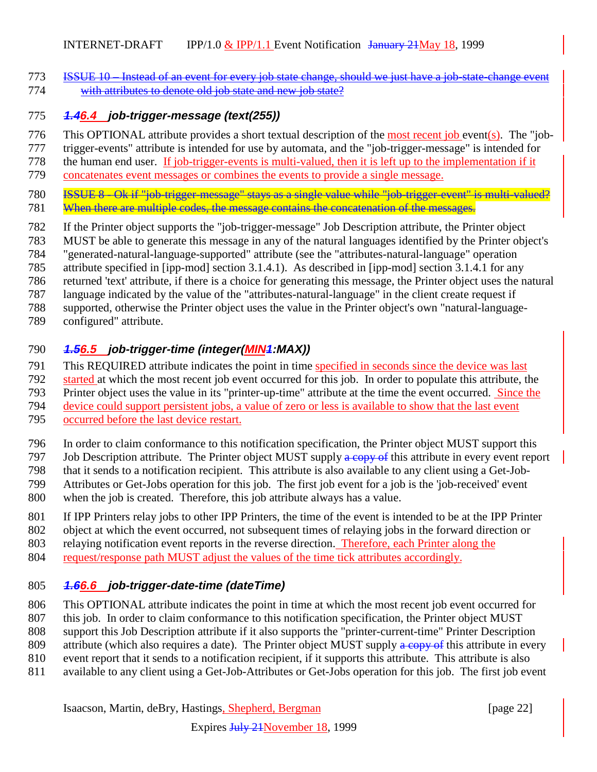ISSUE 10 – Instead of an event for every job state change, should we just have a job-state-change event with attributes to denote old job state and new job state?

#### **1.46.4 job-trigger-message (text(255))**

- This OPTIONAL attribute provides a short textual description of the most recent job event(s). The "job-
- trigger-events" attribute is intended for use by automata, and the "job-trigger-message" is intended for
- the human end user. If job-trigger-events is multi-valued, then it is left up to the implementation if it
- concatenates event messages or combines the events to provide a single message.
- **ISSUE 8** Ok if "job-trigger-message" stays as a single value while "job-trigger-event" is multi-valued?
- 781 When there are multiple codes, the message contains the concatenation of the messages.
- If the Printer object supports the "job-trigger-message" Job Description attribute, the Printer object
- MUST be able to generate this message in any of the natural languages identified by the Printer object's
- "generated-natural-language-supported" attribute (see the "attributes-natural-language" operation
- attribute specified in [ipp-mod] section 3.1.4.1). As described in [ipp-mod] section 3.1.4.1 for any
- returned 'text' attribute, if there is a choice for generating this message, the Printer object uses the natural
- language indicated by the value of the "attributes-natural-language" in the client create request if
- supported, otherwise the Printer object uses the value in the Printer object's own "natural-language-
- configured" attribute.

#### **1.56.5 job-trigger-time (integer(MIN1:MAX))**

- This REQUIRED attribute indicates the point in time specified in seconds since the device was last
- 2792 started at which the most recent job event occurred for this job. In order to populate this attribute, the<br>2793 Printer object uses the value in its "printer-up-time" attribute at the time the event occurred. Since th
- Printer object uses the value in its "printer-up-time" attribute at the time the event occurred. Since the
- 794 device could support persistent jobs, a value of zero or less is available to show that the last event occurred before the last device restart.
- occurred before the last device restart.
- In order to claim conformance to this notification specification, the Printer object MUST support this
- 797 Job Description attribute. The Printer object MUST supply a copy of this attribute in every event report
- 798 that it sends to a notification recipient. This attribute is also available to any client using a Get-Job-<br>799 Attributes or Get-Jobs operation for this job. The first job event for a job is the 'job-received' event
- Attributes or Get-Jobs operation for this job. The first job event for a job is the 'job-received' event
- when the job is created. Therefore, this job attribute always has a value.
- If IPP Printers relay jobs to other IPP Printers, the time of the event is intended to be at the IPP Printer
- object at which the event occurred, not subsequent times of relaying jobs in the forward direction or
- relaying notification event reports in the reverse direction. Therefore, each Printer along the
- request/response path MUST adjust the values of the time tick attributes accordingly.

## **1.66.6 job-trigger-date-time (dateTime)**

- This OPTIONAL attribute indicates the point in time at which the most recent job event occurred for
- this job. In order to claim conformance to this notification specification, the Printer object MUST
- support this Job Description attribute if it also supports the "printer-current-time" Printer Description
- 809 attribute (which also requires a date). The Printer object MUST supply  $\frac{a \text{ copy of}}{b}$  this attribute in every
- event report that it sends to a notification recipient, if it supports this attribute. This attribute is also
- available to any client using a Get-Job-Attributes or Get-Jobs operation for this job. The first job event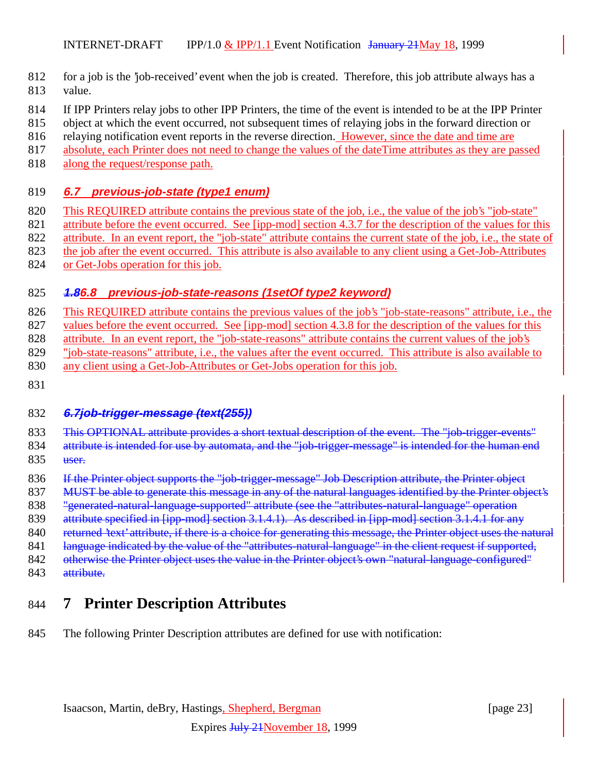- 812 for a job is the 'job-received' event when the job is created. Therefore, this job attribute always has a 813 value.
- 814 If IPP Printers relay jobs to other IPP Printers, the time of the event is intended to be at the IPP Printer
- 815 object at which the event occurred, not subsequent times of relaying jobs in the forward direction or
- 816 relaying notification event reports in the reverse direction. However, since the date and time are
- 817 absolute, each Printer does not need to change the values of the dateTime attributes as they are passed
- 818 along the request/response path.

#### 819 **6.7 previous-job-state (type1 enum)**

- 820 This REQUIRED attribute contains the previous state of the job, i.e., the value of the job's "job-state"
- 821 attribute before the event occurred. See [ipp-mod] section 4.3.7 for the description of the values for this
- 822 attribute. In an event report, the "job-state" attribute contains the current state of the job, i.e., the state of
- 823 the job after the event occurred. This attribute is also available to any client using a Get-Job-Attributes
- 824 or Get-Jobs operation for this job.

#### 825 **1.86.8 previous-job-state-reasons (1setOf type2 keyword)**

- 826 This REQUIRED attribute contains the previous values of the job's "job-state-reasons" attribute, i.e., the 827 values before the event occurred. See [ipp-mod] section 4.3.8 for the description of the values for this 828 attribute. In an event report, the "job-state-reasons" attribute contains the current values of the job's 829 "job-state-reasons" attribute, i.e., the values after the event occurred. This attribute is also available to
- 
- 830 any client using a Get-Job-Attributes or Get-Jobs operation for this job.
- 831

## 832 **6.7job-trigger-message (text(255))**

- 833 This OPTIONAL attribute provides a short textual description of the event. The "job-trigger-events"
- 834 attribute is intended for use by automata, and the "job-trigger-message" is intended for the human end
- 835 user.
- 836 If the Printer object supports the "job-trigger-message" Job Description attribute, the Printer object
- 837 MUST be able to generate this message in any of the natural languages identified by the Printer object's
- 838 "generated-natural-language-supported" attribute (see the "attributes-natural-language" operation
- 839 attribute specified in [ipp-mod] section 3.1.4.1). As described in [ipp-mod] section 3.1.4.1 for any
- 840 returned 'text' attribute, if there is a choice for generating this message, the Printer object uses the natural
- 841 language indicated by the value of the "attributes-natural-language" in the client request if supported,
- 842 otherwise the Printer object uses the value in the Printer object's own "natural-language-configured"
- 843 attribute.

# 844 **7 Printer Description Attributes**

845 The following Printer Description attributes are defined for use with notification: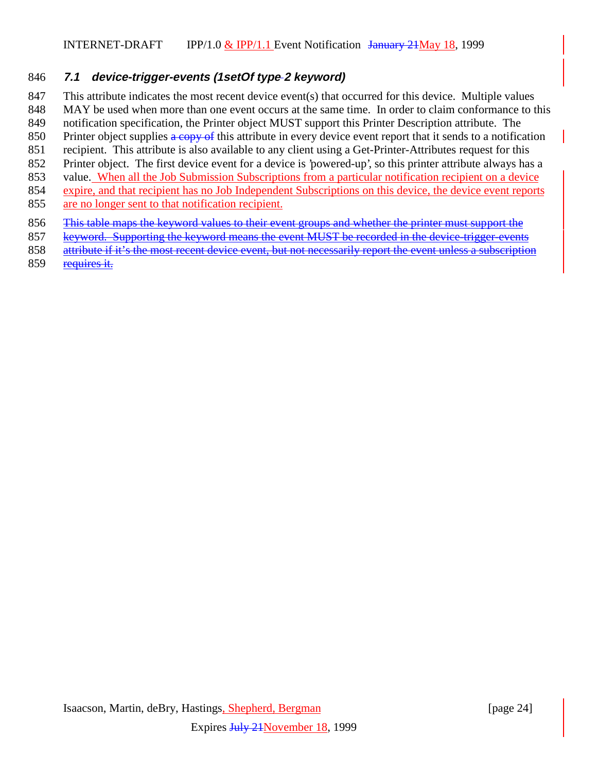#### **7.1 device-trigger-events (1setOf type 2 keyword)**

- This attribute indicates the most recent device event(s) that occurred for this device. Multiple values
- 848 MAY be used when more than one event occurs at the same time. In order to claim conformance to this
- notification specification, the Printer object MUST support this Printer Description attribute. The
- 850 Printer object supplies a copy of this attribute in every device event report that it sends to a notification
- recipient. This attribute is also available to any client using a Get-Printer-Attributes request for this
- Printer object. The first device event for a device is 'powered-up', so this printer attribute always has a
- value. When all the Job Submission Subscriptions from a particular notification recipient on a device
- expire, and that recipient has no Job Independent Subscriptions on this device, the device event reports are no longer sent to that notification recipient.
- 856 This table maps the keyword values to their event groups and whether the printer must support the
- keyword. Supporting the keyword means the event MUST be recorded in the device-trigger-events
- attribute if it's the most recent device event, but not necessarily report the event unless a subscription
- requires it.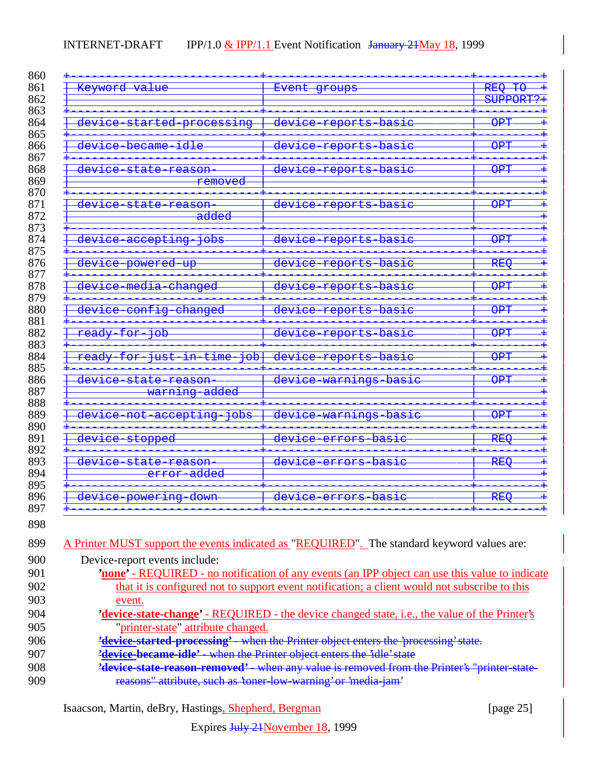| Keyword value                                              | Event groups                                    | <b>REQ</b><br>$\overline{40}$                  |
|------------------------------------------------------------|-------------------------------------------------|------------------------------------------------|
|                                                            |                                                 | SUPPORT?+                                      |
| <del>device started processing</del>                       | device reports basic                            | <b>OPT</b>                                     |
| <del>device became</del><br><del>idle</del>                | <del>device reports basic</del>                 | <b>OPT</b>                                     |
| <del>device state reason</del><br><del>removed</del>       | <del>device reports basic</del>                 | <b>OPT</b>                                     |
| <del>device state reason</del><br><del>added</del>         | <del>device reports basic</del>                 | <b>OPT</b>                                     |
| <del>device accepting</del><br><del>ador</del>             | <del>basic</del><br><del>device reports</del>   | <b>OPT</b>                                     |
| <del>device powered up</del>                               | <del>device reports basic</del>                 | <b>REQ</b>                                     |
| device media changed                                       | <del>device reports basic</del>                 | $\overline{\text{OPT}}$                        |
| device config changed                                      | device reports basic                            | <b>OPT</b>                                     |
| ready for job                                              | <del>device reports basic</del>                 | <b>OPT</b>                                     |
| ready for just in time<br>$\overline{\overline{\text{de}}$ | <del>device reports basic</del>                 | <b>OPT</b>                                     |
| device state reason<br>warning added                       | device warnings basic                           | <b>OPT</b>                                     |
| <del>device not accepting</del><br><del>adoj</del>         | <del>device warnings basic</del>                | <b>OPT</b>                                     |
| device stopped                                             | <del>basic</del><br><del>device</del><br>errors | <b>REQ</b>                                     |
| <del>device state reason</del><br>error added              | <del>basic</del><br><del>device errors</del>    | $\bar{\texttt{R}}$ $\bar{\texttt{R}}$ $\Theta$ |
| <del>device powering</del><br><del>down</del>              | <del>device</del><br><del>basic</del><br>errors | <b>REQ</b>                                     |

| 899 | A Printer MUST support the events indicated as "REQUIRED". The standard keyword values are:           |
|-----|-------------------------------------------------------------------------------------------------------|
| 900 | Device-report events include:                                                                         |
| 901 | <b>none'</b> - REQUIRED - no notification of any events (an IPP object can use this value to indicate |
| 902 | that it is configured not to support event notification; a client would not subscribe to this         |
| 903 | event.                                                                                                |
| 904 | 'device-state-change' - REQUIRED - the device changed state, i.e., the value of the Printer's         |
| 905 | "printer-state" attribute changed.                                                                    |
| 906 | 'device-started-processing' when the Printer object enters the 'processing' state.                    |
| 907 | <b>'device-became-idle'</b> - when the Printer object enters the 'idle' state                         |
| 908 | <b>'device-state-reason-removed'</b> - when any value is removed from the Printer's "printer-state-   |
| 909 | reasons" attribute, such as 'toner-low-warning' or 'media-jam'                                        |

Isaacson, Martin, deBry, Hastings, Shepherd, Bergman [page 25]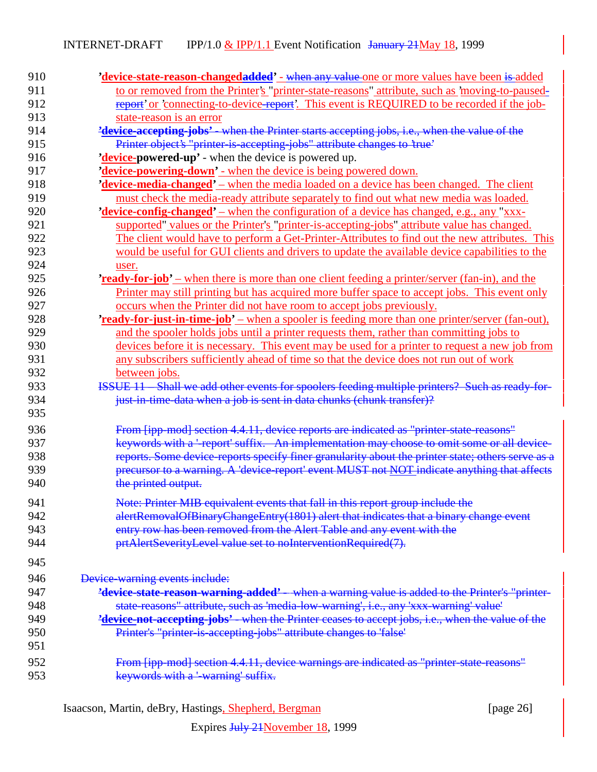| 910 | 'device-state-reason-changedadded' - when any value one or more values have been is added                     |
|-----|---------------------------------------------------------------------------------------------------------------|
| 911 | to or removed from the Printer's "printer-state-reasons" attribute, such as 'moving-to-paused-                |
| 912 | report' or 'connecting-to-device-report'. This event is REQUIRED to be recorded if the job-                   |
| 913 | state-reason is an error                                                                                      |
| 914 | 'device-accepting-jobs' - when the Printer starts accepting jobs, i.e., when the value of the                 |
| 915 | Printer object's "printer-is-accepting-jobs" attribute changes to 'true'                                      |
| 916 | 'device-powered-up' - when the device is powered up.                                                          |
| 917 | 'device-powering-down' - when the device is being powered down.                                               |
| 918 | 'device-media-changed' – when the media loaded on a device has been changed. The client                       |
| 919 | must check the media-ready attribute separately to find out what new media was loaded.                        |
| 920 | <b>'device-config-changed'</b> – when the configuration of a device has changed, e.g., any "xxx-              |
| 921 | supported" values or the Printer's "printer-is-accepting-jobs" attribute value has changed.                   |
| 922 | The client would have to perform a Get-Printer-Attributes to find out the new attributes. This                |
| 923 | would be useful for GUI clients and drivers to update the available device capabilities to the                |
| 924 | user.                                                                                                         |
| 925 | <b><u>'ready-for-job'</u></b> – when there is more than one client feeding a printer/server (fan-in), and the |
| 926 | Printer may still printing but has acquired more buffer space to accept jobs. This event only                 |
| 927 | occurs when the Printer did not have room to accept jobs previously.                                          |
| 928 | <b>'ready-for-just-in-time-job'</b> – when a spooler is feeding more than one printer/server (fan-out),       |
| 929 | and the spooler holds jobs until a printer requests them, rather than committing jobs to                      |
| 930 | devices before it is necessary. This event may be used for a printer to request a new job from                |
| 931 | any subscribers sufficiently ahead of time so that the device does not run out of work                        |
| 932 | between jobs.                                                                                                 |
| 933 | ISSUE 11 Shall we add other events for spoolers feeding multiple printers? Such as ready for-                 |
| 934 | just-in-time-data when a job is sent in data chunks (chunk transfer)?                                         |
| 935 |                                                                                                               |
|     |                                                                                                               |
| 936 | From [ipp-mod] section 4.4.11, device reports are indicated as "printer-state-reasons"                        |
| 937 | keywords with a 'report' suffix. An implementation may choose to omit some or all device-                     |
| 938 | reports. Some device reports specify finer granularity about the printer state; others serve as a             |
| 939 | precursor to a warning. A 'device-report' event MUST not NOT indicate anything that affects                   |
| 940 | the printed output.                                                                                           |
| 941 | Note: Printer MIB equivalent events that fall in this report group include the                                |
| 942 | alertRemovalOfBinaryChangeEntry(1801) alert that indicates that a binary change event                         |
| 943 | entry row has been removed from the Alert Table and any event with the                                        |
| 944 | prtAlertSeverityLevel value set to noInterventionRequired(7).                                                 |
| 945 |                                                                                                               |
| 946 | Device-warning events include:                                                                                |
| 947 | 'device-state-reason-warning-added' - when a warning value is added to the Printer's "printer-                |
| 948 | state reasons" attribute, such as 'media low warning', i.e., any 'xxx warning' value'                         |
| 949 | 'device-not-accepting-jobs' - when the Printer ceases to accept jobs, i.e., when the value of the             |
| 950 | Printer's "printer-is-accepting-jobs" attribute changes to 'false'                                            |
| 951 |                                                                                                               |
|     |                                                                                                               |
| 952 | From [ipp-mod] section 4.4.11, device warnings are indicated as "printer-state-reasons"                       |
| 953 | keywords with a '-warning' suffix.                                                                            |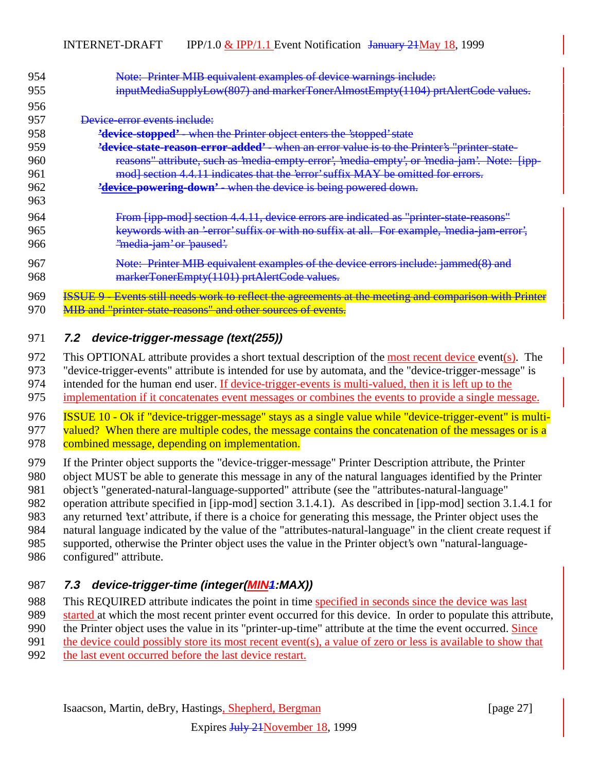| 954 | Note: Printer MIB equivalent examples of device warnings include:                                    |
|-----|------------------------------------------------------------------------------------------------------|
| 955 | inputMediaSupplyLow(807) and markerTonerAlmostEmpty(1104) prtAlertCode values.                       |
| 956 |                                                                                                      |
| 957 | Device error events include:                                                                         |
| 958 | <b>'device-stopped'</b> - when the Printer object enters the 'stopped' state                         |
| 959 | <b>'device-state-reason-error-added'</b> - when an error value is to the Printer's "printer-state-   |
| 960 | reasons" attribute, such as 'media-empty-error', 'media-empty', or 'media-jam'. Note: [ipp-          |
| 961 | mod] section 4.4.11 indicates that the 'error' suffix MAY be omitted for errors.                     |
| 962 | <b>'device-powering-down'</b> when the device is being powered down.                                 |
| 963 |                                                                                                      |
| 964 | From [ipp-mod] section 4.4.11, device errors are indicated as "printer-state-reasons"                |
| 965 | keywords with an 'error' suffix or with no suffix at all. For example, 'media-jam-error',            |
| 966 | "media jam' or 'paused'.                                                                             |
| 967 | Note: Printer MIB equivalent examples of the device errors include: jammed(8) and                    |
| 968 | markerTonerEmpty(1101) prtAlertCode values.                                                          |
|     |                                                                                                      |
| 969 | <b>ISSUE 9 - Events still needs work to reflect the agreements at the meeting and comparison wit</b> |
| 970 | MIB and "printer-state-reasons" and other sources of events.                                         |

#### 971 **7.2 device-trigger-message (text(255))**

972 This OPTIONAL attribute provides a short textual description of the <u>most recent device</u> event(s). The "device-trigger-events" attribute is intended for use by automata, and the "device-trigger-message" is

"device-trigger-events" attribute is intended for use by automata, and the "device-trigger-message" is

974 intended for the human end user. If device-trigger-events is multi-valued, then it is left up to the

975 implementation if it concatenates event messages or combines the events to provide a single message.

976 **ISSUE 10 - Ok if "device-trigger-message" stays as a single value while "device-trigger-event" is multi-**977 valued? When there are multiple codes, the message contains the concatenation of the messages or is a 978 combined message, depending on implementation.

979 If the Printer object supports the "device-trigger-message" Printer Description attribute, the Printer

980 object MUST be able to generate this message in any of the natural languages identified by the Printer

981 object's "generated-natural-language-supported" attribute (see the "attributes-natural-language"

982 operation attribute specified in [ipp-mod] section 3.1.4.1). As described in [ipp-mod] section 3.1.4.1 for

983 any returned 'text' attribute, if there is a choice for generating this message, the Printer object uses the

984 natural language indicated by the value of the "attributes-natural-language" in the client create request if

985 supported, otherwise the Printer object uses the value in the Printer object's own "natural-language-

986 configured" attribute.

## 987 **7.3 device-trigger-time (integer(MIN1:MAX))**

988 This REQUIRED attribute indicates the point in time specified in seconds since the device was last

989 started at which the most recent printer event occurred for this device. In order to populate this attribute,

990 the Printer object uses the value in its "printer-up-time" attribute at the time the event occurred. Since

991 the device could possibly store its most recent event(s), a value of zero or less is available to show that

992 the last event occurred before the last device restart.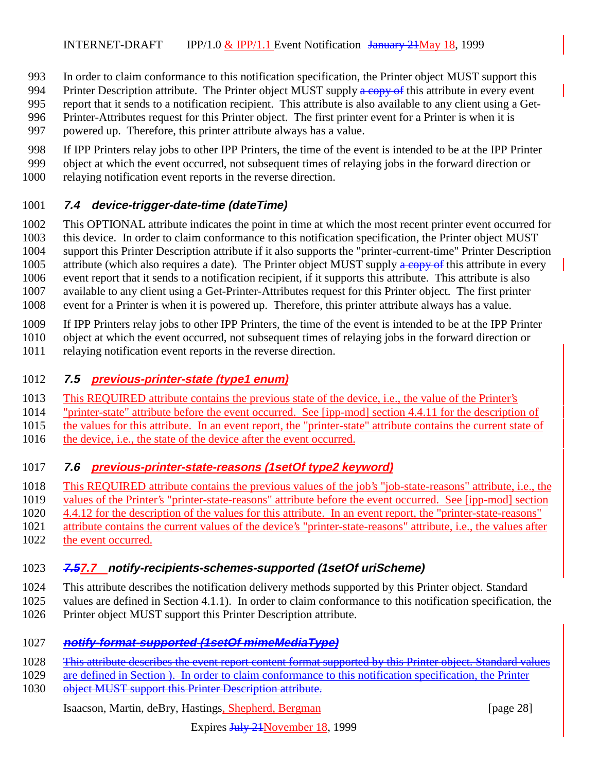- In order to claim conformance to this notification specification, the Printer object MUST support this
- 994 Printer Description attribute. The Printer object MUST supply a copy of this attribute in every event
- report that it sends to a notification recipient. This attribute is also available to any client using a Get-
- Printer-Attributes request for this Printer object. The first printer event for a Printer is when it is
- powered up. Therefore, this printer attribute always has a value.
- If IPP Printers relay jobs to other IPP Printers, the time of the event is intended to be at the IPP Printer
- object at which the event occurred, not subsequent times of relaying jobs in the forward direction or
- relaying notification event reports in the reverse direction.

## **7.4 device-trigger-date-time (dateTime)**

 This OPTIONAL attribute indicates the point in time at which the most recent printer event occurred for this device. In order to claim conformance to this notification specification, the Printer object MUST support this Printer Description attribute if it also supports the "printer-current-time" Printer Description 1005 attribute (which also requires a date). The Printer object MUST supply a copy of this attribute in every event report that it sends to a notification recipient, if it supports this attribute. This attribute is also available to any client using a Get-Printer-Attributes request for this Printer object. The first printer event for a Printer is when it is powered up. Therefore, this printer attribute always has a value.

If IPP Printers relay jobs to other IPP Printers, the time of the event is intended to be at the IPP Printer

object at which the event occurred, not subsequent times of relaying jobs in the forward direction or

relaying notification event reports in the reverse direction.

## **7.5 previous-printer-state (type1 enum)**

- This REQUIRED attribute contains the previous state of the device, i.e., the value of the Printer's
- "printer-state" attribute before the event occurred. See [ipp-mod] section 4.4.11 for the description of
- the values for this attribute. In an event report, the "printer-state" attribute contains the current state of
- 1016 the device, i.e., the state of the device after the event occurred.

## **7.6 previous-printer-state-reasons (1setOf type2 keyword)**

- This REQUIRED attribute contains the previous values of the job's "job-state-reasons" attribute, i.e., the
- values of the Printer's "printer-state-reasons" attribute before the event occurred. See [ipp-mod] section
- 4.4.12 for the description of the values for this attribute. In an event report, the "printer-state-reasons"
- attribute contains the current values of the device's "printer-state-reasons" attribute, i.e., the values after 1022 the event occurred.

## **7.57.7 notify-recipients-schemes-supported (1setOf uriScheme)**

- This attribute describes the notification delivery methods supported by this Printer object. Standard
- values are defined in Section 4.1.1). In order to claim conformance to this notification specification, the
- Printer object MUST support this Printer Description attribute.

## **notify-format-supported (1setOf mimeMediaType)**

- 1028 This attribute describes the event report content format supported by this Printer object. Standard values
- 1029 are defined in Section ). In order to claim conformance to this notification specification, the Printer 1030 object MUST support this Printer Description attribute.

#### Isaacson, Martin, deBry, Hastings, Shepherd, Bergman [page 28]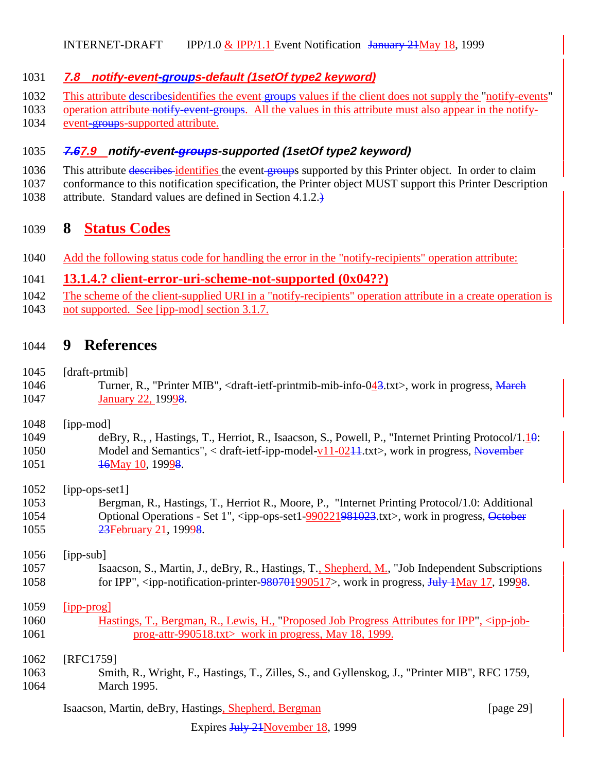#### **7.8 notify-event-groups-default (1setOf type2 keyword)**

- 1032 This attribute describesidentifies the event groups values if the client does not supply the "notify-events"
- 1033 operation attribute notify-event-groups. All the values in this attribute must also appear in the notify-
- 1034 event-groups-supported attribute.

#### **7.67.9 notify-event-groups-supported (1setOf type2 keyword)**

- 1036 This attribute describes identifies the event groups supported by this Printer object. In order to claim
- conformance to this notification specification, the Printer object MUST support this Printer Description
- attribute. Standard values are defined in Section 4.1.2.)

# **8 Status Codes**

Add the following status code for handling the error in the "notify-recipients" operation attribute:

# **13.1.4.? client-error-uri-scheme-not-supported (0x04??)**

- The scheme of the client-supplied URI in a "notify-recipients" operation attribute in a create operation is
- 1043 not supported. See [ipp-mod] section 3.1.7.

# **9 References**

- [draft-prtmib]
- 1046 Turner, R., "Printer MIB", <draft-ietf-printmib-mib-info-043.txt>, work in progress, March **January 22, 19998.**
- [ipp-mod]
- 1049 deBry, R., , Hastings, T., Herriot, R., Isaacson, S., Powell, P., "Internet Printing Protocol/1.10: 1050 Model and Semantics", < draft-ietf-ipp-model-v11-0244.txt>, work in progress, November **16May 10, 19998.**
- [ipp-ops-set1]
- Bergman, R., Hastings, T., Herriot R., Moore, P., "Internet Printing Protocol/1.0: Additional 1054 Optional Operations - Set 1", <ipp-ops-set1-990221981023.txt>, work in progress, October 1055 23February 21, 19928.

# [ipp-sub]

- Isaacson, S., Martin, J., deBry, R., Hastings, T., Shepherd, M., "Job Independent Subscriptions 1058 for IPP", <ipp-notification-printer-980701990517>, work in progress, July 1May 17, 19998.
- [ipp-prog]
- Hastings, T., Bergman, R., Lewis, H., "Proposed Job Progress Attributes for IPP", <ipp-job-**prog-attr-990518.txt>** work in progress, May 18, 1999.
- [RFC1759]
- Smith, R., Wright, F., Hastings, T., Zilles, S., and Gyllenskog, J., "Printer MIB", RFC 1759, March 1995.

Isaacson, Martin, deBry, Hastings, Shepherd, Bergman [page 29]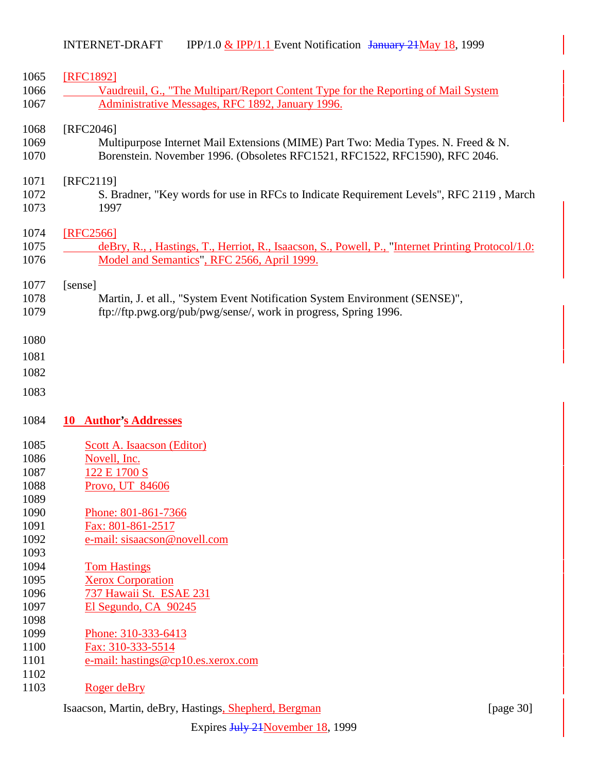| [RFC1892]                                                                                          |
|----------------------------------------------------------------------------------------------------|
| Vaudreuil, G., "The Multipart/Report Content Type for the Reporting of Mail System                 |
| Administrative Messages, RFC 1892, January 1996.                                                   |
| [RFC2046]                                                                                          |
| Multipurpose Internet Mail Extensions (MIME) Part Two: Media Types. N. Freed & N.                  |
| Borenstein. November 1996. (Obsoletes RFC1521, RFC1522, RFC1590), RFC 2046.                        |
| [RFC2119]                                                                                          |
| S. Bradner, "Key words for use in RFCs to Indicate Requirement Levels", RFC 2119, March            |
| 1997                                                                                               |
| [RFC2566]                                                                                          |
| deBry, R., , Hastings, T., Herriot, R., Isaacson, S., Powell, P., "Internet Printing Protocol/1.0: |
| Model and Semantics", RFC 2566, April 1999.                                                        |
| [sense]                                                                                            |
| Martin, J. et all., "System Event Notification System Environment (SENSE)",                        |
| ftp://ftp.pwg.org/pub/pwg/sense/, work in progress, Spring 1996.                                   |
|                                                                                                    |
|                                                                                                    |
|                                                                                                    |
|                                                                                                    |
|                                                                                                    |
|                                                                                                    |
|                                                                                                    |
| 10 Author's Addresses                                                                              |
| Scott A. Isaacson (Editor)                                                                         |
| Novell, Inc.                                                                                       |
| 122 E 1700 S                                                                                       |
| Provo, UT 84606                                                                                    |
|                                                                                                    |
| Phone: 801-861-7366                                                                                |
|                                                                                                    |
| Fax: 801-861-2517                                                                                  |
| e-mail: sisaacson@novell.com                                                                       |
|                                                                                                    |
| <b>Tom Hastings</b>                                                                                |
| <b>Xerox Corporation</b>                                                                           |
| 737 Hawaii St. ESAE 231                                                                            |
| El Segundo, CA 90245                                                                               |
|                                                                                                    |
| Phone: 310-333-6413                                                                                |
| Fax: 310-333-5514                                                                                  |
| e-mail: hastings@cp10.es.xerox.com                                                                 |
| Roger deBry                                                                                        |

Isaacson, Martin, deBry, Hastings, Shepherd, Bergman [page 30]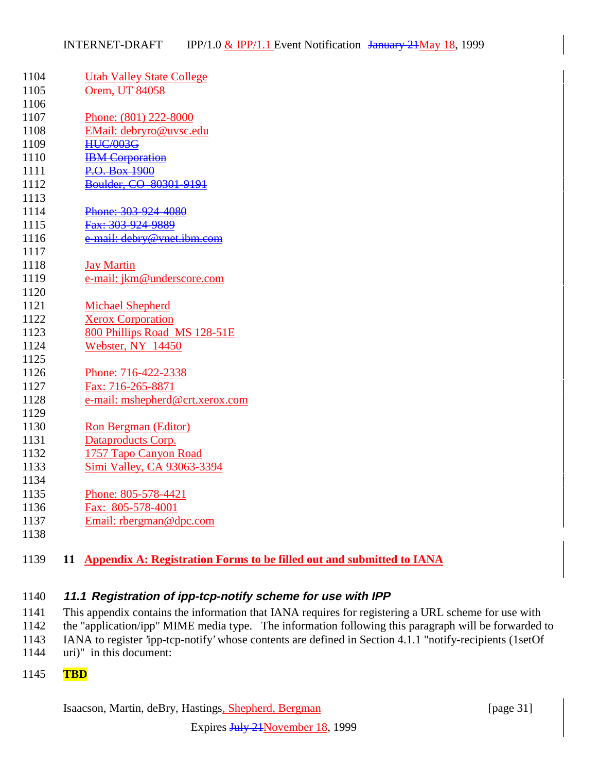| 1104 | <b>Utah Valley State College</b>                                                   |
|------|------------------------------------------------------------------------------------|
| 1105 | Orem, UT 84058                                                                     |
| 1106 |                                                                                    |
| 1107 | Phone: (801) 222-8000                                                              |
| 1108 | EMail: debryro@uvsc.edu                                                            |
| 1109 | <b>HUC/003G</b>                                                                    |
| 1110 | <b>IBM</b> Corporation                                                             |
| 1111 | P.O. Box 1900                                                                      |
| 1112 | Boulder, CO 80301-9191                                                             |
| 1113 |                                                                                    |
| 1114 | Phone: 303-924-4080                                                                |
| 1115 | Fax: 303-924-9889                                                                  |
| 1116 | e mail: debry@vnet.ibm.com                                                         |
| 1117 |                                                                                    |
| 1118 | <b>Jay Martin</b>                                                                  |
| 1119 | e-mail: jkm@underscore.com                                                         |
| 1120 |                                                                                    |
| 1121 | <b>Michael Shepherd</b>                                                            |
| 1122 | <b>Xerox Corporation</b>                                                           |
| 1123 | 800 Phillips Road MS 128-51E                                                       |
| 1124 | Webster, NY 14450                                                                  |
| 1125 |                                                                                    |
| 1126 | Phone: 716-422-2338                                                                |
| 1127 | Fax: 716-265-8871                                                                  |
| 1128 | e-mail: mshepherd@crt.xerox.com                                                    |
| 1129 |                                                                                    |
| 1130 | Ron Bergman (Editor)                                                               |
| 1131 | Dataproducts Corp.                                                                 |
| 1132 | 1757 Tapo Canyon Road                                                              |
| 1133 | Simi Valley, CA 93063-3394                                                         |
| 1134 |                                                                                    |
| 1135 | Phone: 805-578-4421                                                                |
| 1136 | Fax: 805-578-4001                                                                  |
| 1137 | Email: rbergman@dpc.com                                                            |
| 1138 |                                                                                    |
|      |                                                                                    |
| 1139 | <b>Appendix A: Registration Forms to be filled out and submitted to IANA</b><br>11 |

#### **11.1 Registration of ipp-tcp-notify scheme for use with IPP**

 This appendix contains the information that IANA requires for registering a URL scheme for use with the "application/ipp" MIME media type. The information following this paragraph will be forwarded to IANA to register 'ipp-tcp-notify' whose contents are defined in Section 4.1.1 "notify-recipients (1setOf

- uri)" in this document:
- **TBD**

Isaacson, Martin, deBry, Hastings, Shepherd, Bergman [page 31]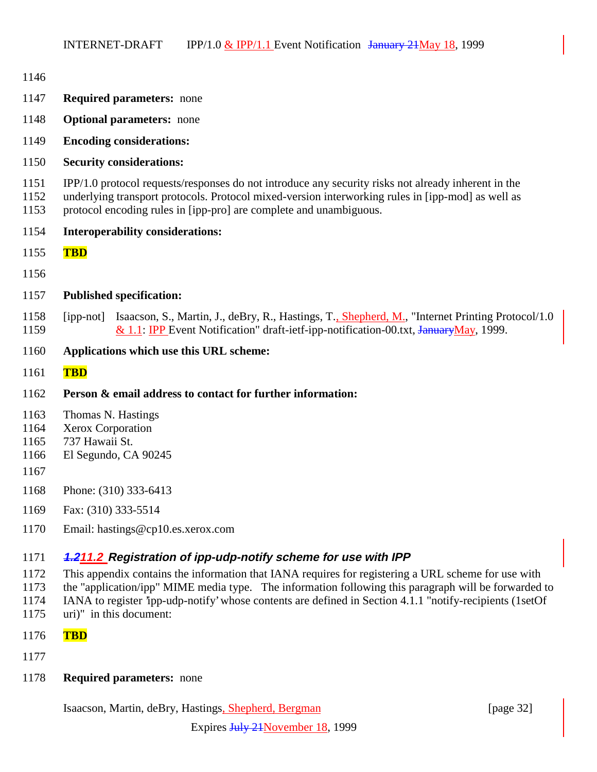| 1146                                 |                                                                                                                                                                                                                                                                                                                                                                                                                      |
|--------------------------------------|----------------------------------------------------------------------------------------------------------------------------------------------------------------------------------------------------------------------------------------------------------------------------------------------------------------------------------------------------------------------------------------------------------------------|
| 1147                                 | <b>Required parameters:</b> none                                                                                                                                                                                                                                                                                                                                                                                     |
| 1148                                 | <b>Optional parameters:</b> none                                                                                                                                                                                                                                                                                                                                                                                     |
| 1149                                 | <b>Encoding considerations:</b>                                                                                                                                                                                                                                                                                                                                                                                      |
| 1150                                 | <b>Security considerations:</b>                                                                                                                                                                                                                                                                                                                                                                                      |
| 1151<br>1152<br>1153                 | IPP/1.0 protocol requests/responses do not introduce any security risks not already inherent in the<br>underlying transport protocols. Protocol mixed-version interworking rules in [ipp-mod] as well as<br>protocol encoding rules in [ipp-pro] are complete and unambiguous.                                                                                                                                       |
| 1154                                 | <b>Interoperability considerations:</b>                                                                                                                                                                                                                                                                                                                                                                              |
| 1155                                 | <b>TBD</b>                                                                                                                                                                                                                                                                                                                                                                                                           |
| 1156                                 |                                                                                                                                                                                                                                                                                                                                                                                                                      |
| 1157                                 | <b>Published specification:</b>                                                                                                                                                                                                                                                                                                                                                                                      |
| 1158<br>1159                         | Isaacson, S., Martin, J., deBry, R., Hastings, T., Shepherd, M., "Internet Printing Protocol/1.0<br>[ipp-not]<br>& 1.1: IPP Event Notification" draft-ietf-ipp-notification-00.txt, January May, 1999.                                                                                                                                                                                                               |
| 1160                                 | Applications which use this URL scheme:                                                                                                                                                                                                                                                                                                                                                                              |
| 1161                                 | <b>TBD</b>                                                                                                                                                                                                                                                                                                                                                                                                           |
| 1162                                 | Person & email address to contact for further information:                                                                                                                                                                                                                                                                                                                                                           |
| 1163<br>1164<br>1165<br>1166<br>1167 | Thomas N. Hastings<br>Xerox Corporation<br>737 Hawaii St.<br>El Segundo, CA 90245                                                                                                                                                                                                                                                                                                                                    |
| 1168                                 | Phone: (310) 333-6413                                                                                                                                                                                                                                                                                                                                                                                                |
| 1169                                 | Fax: (310) 333-5514                                                                                                                                                                                                                                                                                                                                                                                                  |
| 1170                                 | Email: hastings@cp10.es.xerox.com                                                                                                                                                                                                                                                                                                                                                                                    |
| 1171<br>1172<br>1173<br>1174<br>1175 | 4.211.2 Registration of ipp-udp-notify scheme for use with IPP<br>This appendix contains the information that IANA requires for registering a URL scheme for use with<br>the "application/ipp" MIME media type. The information following this paragraph will be forwarded to<br>IANA to register 'ipp-udp-notify' whose contents are defined in Section 4.1.1 "notify-recipients (1setOf<br>uri)" in this document: |

- **TBD**
- 
- **Required parameters:** none

Isaacson, Martin, deBry, Hastings, Shepherd, Bergman [page 32]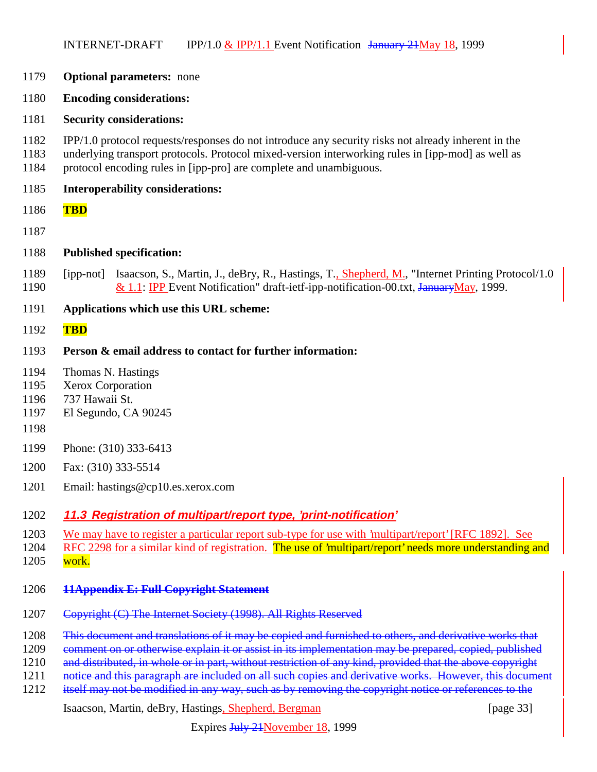- **Optional parameters:** none
- **Encoding considerations:**
- **Security considerations:**
- IPP/1.0 protocol requests/responses do not introduce any security risks not already inherent in the
- underlying transport protocols. Protocol mixed-version interworking rules in [ipp-mod] as well as protocol encoding rules in [ipp-pro] are complete and unambiguous.
- **Interoperability considerations:**
- **TBD**
- 
- **Published specification:**
- [ipp-not] Isaacson, S., Martin, J., deBry, R., Hastings, T., Shepherd, M., "Internet Printing Protocol/1.0 1190  $\&$  1.1: IPP Event Notification" draft-ietf-ipp-notification-00.txt, JanuaryMay, 1999.
- **Applications which use this URL scheme:**
- **TBD**

#### **Person & email address to contact for further information:**

- Thomas N. Hastings
- Xerox Corporation
- 737 Hawaii St.
- El Segundo, CA 90245
- 
- Phone: (310) 333-6413
- Fax: (310) 333-5514
- Email: hastings@cp10.es.xerox.com

#### **11.3 Registration of multipart/report type, 'print-notification'**

We may have to register a particular report sub-type for use with 'multipart/report' [RFC 1892]. See

1204 RFC 2298 for a similar kind of registration. The use of 'multipart/report' needs more understanding and

work.

#### **11Appendix E: Full Copyright Statement**

- Copyright (C) The Internet Society (1998). All Rights Reserved
- 1208 This document and translations of it may be copied and furnished to others, and derivative works that
- 1209 comment on or otherwise explain it or assist in its implementation may be prepared, copied, published
- 1210 and distributed, in whole or in part, without restriction of any kind, provided that the above copyright
- 1211 notice and this paragraph are included on all such copies and derivative works. However, this document
- 1212 itself may not be modified in any way, such as by removing the copyright notice or references to the

Isaacson, Martin, deBry, Hastings, Shepherd, Bergman [page 33]

Expires July 21November 18, 1999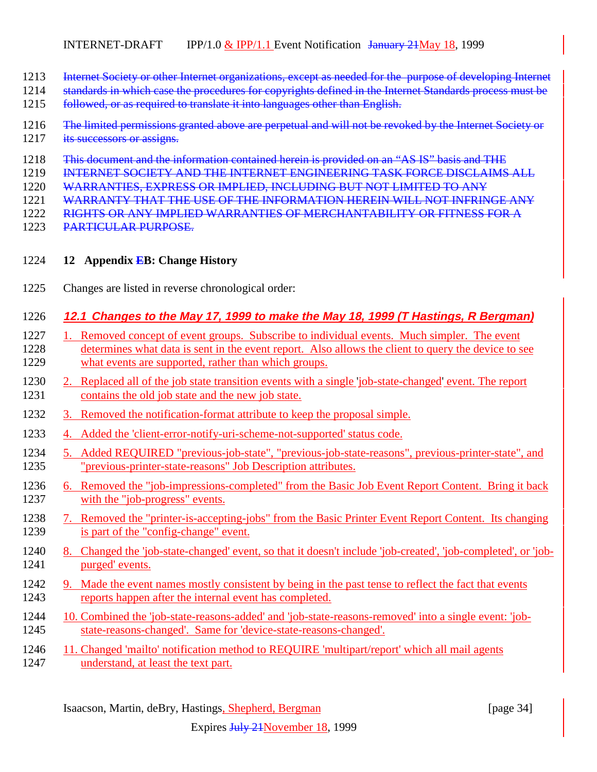- 1213 Internet Society or other Internet organizations, except as needed for the purpose of developing Internet
- 1214 standards in which case the procedures for copyrights defined in the Internet Standards process must be
- followed, or as required to translate it into languages other than English.
- 1216 The limited permissions granted above are perpetual and will not be revoked by the Internet Society or 1217 its successors or assigns.
- This document and the information contained herein is provided on an "AS IS" basis and THE
- INTERNET SOCIETY AND THE INTERNET ENGINEERING TASK FORCE DISCLAIMS ALL
- WARRANTIES, EXPRESS OR IMPLIED, INCLUDING BUT NOT LIMITED TO ANY
- 1221 WARRANTY THAT THE USE OF THE INFORMATION HEREIN WILL NOT INFRINGE ANY
- RIGHTS OR ANY IMPLIED WARRANTIES OF MERCHANTABILITY OR FITNESS FOR A
- PARTICULAR PURPOSE.
- **12 Appendix EB: Change History**
- Changes are listed in reverse chronological order:

## **12.1 Changes to the May 17, 1999 to make the May 18, 1999 (T Hastings, R Bergman)**

- 1. Removed concept of event groups. Subscribe to individual events. Much simpler. The event determines what data is sent in the event report. Also allows the client to query the device to see what events are supported, rather than which groups.
- 2. Replaced all of the job state transition events with a single 'job-state-changed' event. The report contains the old job state and the new job state.
- 3. Removed the notification-format attribute to keep the proposal simple.
- 4. Added the 'client-error-notify-uri-scheme-not-supported' status code.
- 5. Added REQUIRED "previous-job-state", "previous-job-state-reasons", previous-printer-state", and "previous-printer-state-reasons" Job Description attributes.
- 6. Removed the "job-impressions-completed" from the Basic Job Event Report Content. Bring it back with the "job-progress" events.
- 7. Removed the "printer-is-accepting-jobs" from the Basic Printer Event Report Content. Its changing is part of the "config-change" event.
- 8. Changed the 'job-state-changed' event, so that it doesn't include 'job-created', 'job-completed', or 'job-purged' events.
- 1242 9. Made the event names mostly consistent by being in the past tense to reflect the fact that events reports happen after the internal event has completed.
- 10. Combined the 'job-state-reasons-added' and 'job-state-reasons-removed' into a single event: 'job-state-reasons-changed'. Same for 'device-state-reasons-changed'.
- 11. Changed 'mailto' notification method to REQUIRE 'multipart/report' which all mail agents understand, at least the text part.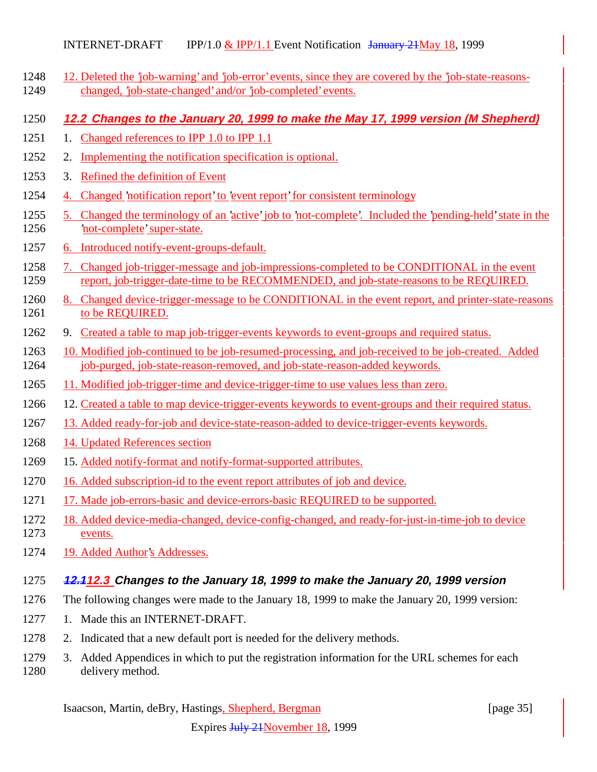- 12. Deleted the 'job-warning' and 'job-error' events, since they are covered by the 'job-state-reasons-changed, 'job-state-changed' and/or 'job-completed' events.
- **12.2 Changes to the January 20, 1999 to make the May 17, 1999 version (M Shepherd)**
- 1251 1. Changed references to IPP 1.0 to IPP 1.1
- 2. Implementing the notification specification is optional.
- 3. Refined the definition of Event
- 4. Changed 'notification report' to 'event report' for consistent terminology
- 5. Changed the terminology of an 'active' job to 'not-complete'. Included the 'pending-held' state in the 'not-complete' super-state.
- 6. Introduced notify-event-groups-default.
- 7. Changed job-trigger-message and job-impressions-completed to be CONDITIONAL in the event report, job-trigger-date-time to be RECOMMENDED, and job-state-reasons to be REQUIRED.
- 8. Changed device-trigger-message to be CONDITIONAL in the event report, and printer-state-reasons 1261 to be REQUIRED.
- 9. Created a table to map job-trigger-events keywords to event-groups and required status.
- 10. Modified job-continued to be job-resumed-processing, and job-received to be job-created. Added 1264 job-purged, job-state-reason-removed, and job-state-reason-added keywords.
- 11. Modified job-trigger-time and device-trigger-time to use values less than zero.
- 12. Created a table to map device-trigger-events keywords to event-groups and their required status.
- 13. Added ready-for-job and device-state-reason-added to device-trigger-events keywords.
- 14. Updated References section
- 15. Added notify-format and notify-format-supported attributes.
- 16. Added subscription-id to the event report attributes of job and device.
- 17. Made job-errors-basic and device-errors-basic REQUIRED to be supported.
- 18. Added device-media-changed, device-config-changed, and ready-for-just-in-time-job to device events.
- 19. Added Author's Addresses.

## **12.112.3 Changes to the January 18, 1999 to make the January 20, 1999 version**

- The following changes were made to the January 18, 1999 to make the January 20, 1999 version:
- 1. Made this an INTERNET-DRAFT.
- 2. Indicated that a new default port is needed for the delivery methods.
- 3. Added Appendices in which to put the registration information for the URL schemes for each delivery method.

Isaacson, Martin, deBry, Hastings, Shepherd, Bergman [page 35]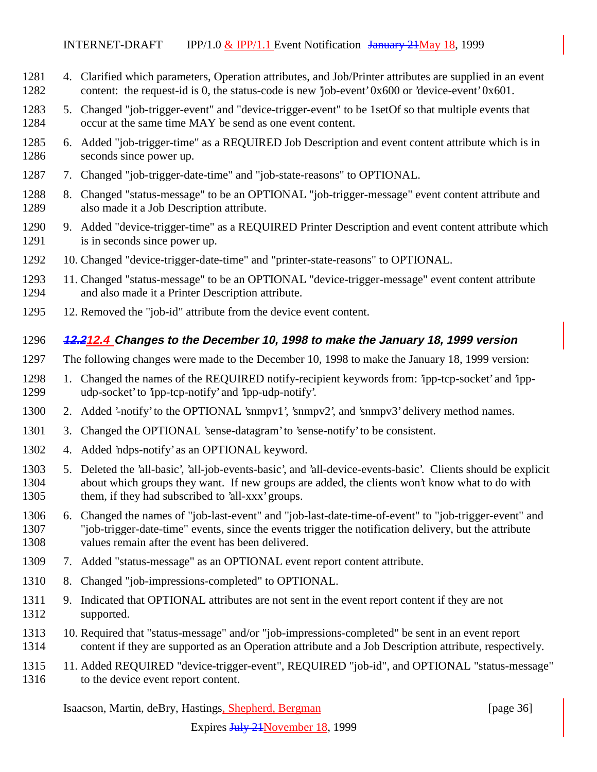- 4. Clarified which parameters, Operation attributes, and Job/Printer attributes are supplied in an event 1282 content: the request-id is 0, the status-code is new 'job-event' 0x600 or 'device-event' 0x601.
- 5. Changed "job-trigger-event" and "device-trigger-event" to be 1setOf so that multiple events that occur at the same time MAY be send as one event content.
- 6. Added "job-trigger-time" as a REQUIRED Job Description and event content attribute which is in seconds since power up.
- 7. Changed "job-trigger-date-time" and "job-state-reasons" to OPTIONAL.
- 8. Changed "status-message" to be an OPTIONAL "job-trigger-message" event content attribute and also made it a Job Description attribute.
- 9. Added "device-trigger-time" as a REQUIRED Printer Description and event content attribute which 1291 is in seconds since power up.
- 10. Changed "device-trigger-date-time" and "printer-state-reasons" to OPTIONAL.
- 11. Changed "status-message" to be an OPTIONAL "device-trigger-message" event content attribute and also made it a Printer Description attribute.
- 12. Removed the "job-id" attribute from the device event content.

#### **12.212.4 Changes to the December 10, 1998 to make the January 18, 1999 version**

- The following changes were made to the December 10, 1998 to make the January 18, 1999 version:
- 1. Changed the names of the REQUIRED notify-recipient keywords from: 'ipp-tcp-socket' and 'ipp-udp-socket' to 'ipp-tcp-notify' and 'ipp-udp-notify'.
- 2. Added '-notify' to the OPTIONAL 'snmpv1', 'snmpv2', and 'snmpv3' delivery method names.
- 3. Changed the OPTIONAL 'sense-datagram' to 'sense-notify' to be consistent.
- 4. Added 'ndps-notify' as an OPTIONAL keyword.
- 5. Deleted the 'all-basic', 'all-job-events-basic', and 'all-device-events-basic'. Clients should be explicit about which groups they want. If new groups are added, the clients won't know what to do with them, if they had subscribed to 'all-xxx' groups.
- 6. Changed the names of "job-last-event" and "job-last-date-time-of-event" to "job-trigger-event" and "job-trigger-date-time" events, since the events trigger the notification delivery, but the attribute values remain after the event has been delivered.
- 7. Added "status-message" as an OPTIONAL event report content attribute.
- 8. Changed "job-impressions-completed" to OPTIONAL.
- 9. Indicated that OPTIONAL attributes are not sent in the event report content if they are not supported.
- 10. Required that "status-message" and/or "job-impressions-completed" be sent in an event report content if they are supported as an Operation attribute and a Job Description attribute, respectively.
- 11. Added REQUIRED "device-trigger-event", REQUIRED "job-id", and OPTIONAL "status-message" 1316 to the device event report content.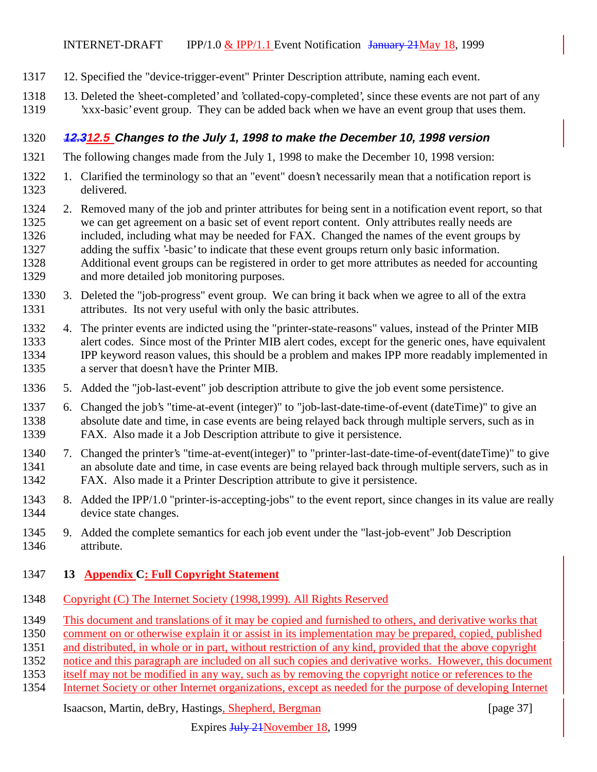- 12. Specified the "device-trigger-event" Printer Description attribute, naming each event.
- 13. Deleted the 'sheet-completed' and 'collated-copy-completed', since these events are not part of any 'xxx-basic' event group. They can be added back when we have an event group that uses them.

#### **12.312.5 Changes to the July 1, 1998 to make the December 10, 1998 version**

- The following changes made from the July 1, 1998 to make the December 10, 1998 version:
- 1. Clarified the terminology so that an "event" doesn't necessarily mean that a notification report is delivered.
- 2. Removed many of the job and printer attributes for being sent in a notification event report, so that we can get agreement on a basic set of event report content. Only attributes really needs are included, including what may be needed for FAX. Changed the names of the event groups by adding the suffix '-basic' to indicate that these event groups return only basic information. Additional event groups can be registered in order to get more attributes as needed for accounting and more detailed job monitoring purposes.
- 3. Deleted the "job-progress" event group. We can bring it back when we agree to all of the extra attributes. Its not very useful with only the basic attributes.
- 4. The printer events are indicted using the "printer-state-reasons" values, instead of the Printer MIB alert codes. Since most of the Printer MIB alert codes, except for the generic ones, have equivalent IPP keyword reason values, this should be a problem and makes IPP more readably implemented in a server that doesn't have the Printer MIB.
- 5. Added the "job-last-event" job description attribute to give the job event some persistence.
- 6. Changed the job's "time-at-event (integer)" to "job-last-date-time-of-event (dateTime)" to give an absolute date and time, in case events are being relayed back through multiple servers, such as in FAX. Also made it a Job Description attribute to give it persistence.
- 7. Changed the printer's "time-at-event(integer)" to "printer-last-date-time-of-event(dateTime)" to give an absolute date and time, in case events are being relayed back through multiple servers, such as in FAX. Also made it a Printer Description attribute to give it persistence.
- 8. Added the IPP/1.0 "printer-is-accepting-jobs" to the event report, since changes in its value are really device state changes.
- 9. Added the complete semantics for each job event under the "last-job-event" Job Description attribute.
- **13 Appendix C: Full Copyright Statement**
- Copyright (C) The Internet Society (1998,1999). All Rights Reserved
- This document and translations of it may be copied and furnished to others, and derivative works that
- comment on or otherwise explain it or assist in its implementation may be prepared, copied, published
- and distributed, in whole or in part, without restriction of any kind, provided that the above copyright
- notice and this paragraph are included on all such copies and derivative works. However, this document
- itself may not be modified in any way, such as by removing the copyright notice or references to the
- Internet Society or other Internet organizations, except as needed for the purpose of developing Internet

#### Isaacson, Martin, deBry, Hastings, Shepherd, Bergman [page 37]